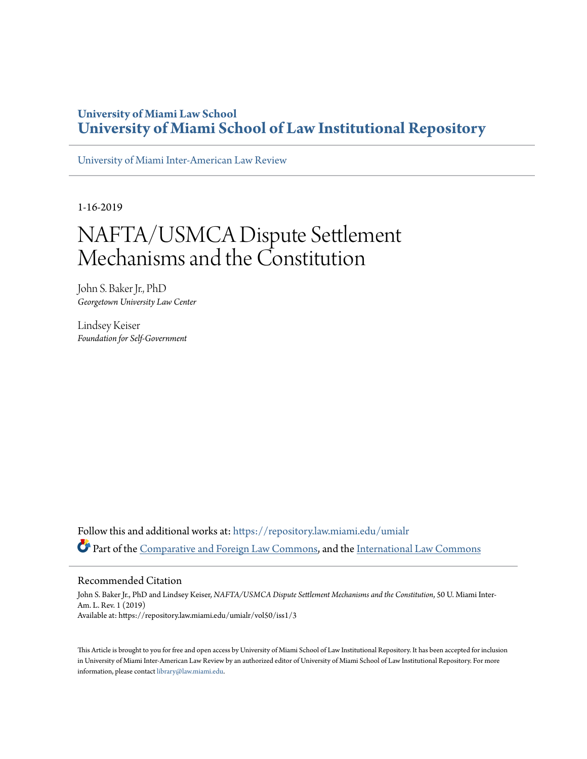# **University of Miami Law School [University of Miami School of Law Institutional Repository](https://repository.law.miami.edu?utm_source=repository.law.miami.edu%2Fumialr%2Fvol50%2Fiss1%2F3&utm_medium=PDF&utm_campaign=PDFCoverPages)**

[University of Miami Inter-American Law Review](https://repository.law.miami.edu/umialr?utm_source=repository.law.miami.edu%2Fumialr%2Fvol50%2Fiss1%2F3&utm_medium=PDF&utm_campaign=PDFCoverPages)

1-16-2019

# NAFTA/USMCA Dispute Settlement Mechanisms and the Constitution

John S. Baker Jr., PhD *Georgetown University Law Center*

Lindsey Keiser *Foundation for Self-Government*

Follow this and additional works at: [https://repository.law.miami.edu/umialr](https://repository.law.miami.edu/umialr?utm_source=repository.law.miami.edu%2Fumialr%2Fvol50%2Fiss1%2F3&utm_medium=PDF&utm_campaign=PDFCoverPages) Part of the [Comparative and Foreign Law Commons](http://network.bepress.com/hgg/discipline/836?utm_source=repository.law.miami.edu%2Fumialr%2Fvol50%2Fiss1%2F3&utm_medium=PDF&utm_campaign=PDFCoverPages), and the [International Law Commons](http://network.bepress.com/hgg/discipline/609?utm_source=repository.law.miami.edu%2Fumialr%2Fvol50%2Fiss1%2F3&utm_medium=PDF&utm_campaign=PDFCoverPages)

#### Recommended Citation

John S. Baker Jr., PhD and Lindsey Keiser, *NAFTA/USMCA Dispute Settlement Mechanisms and the Constitution*, 50 U. Miami Inter-Am. L. Rev. 1 (2019) Available at: https://repository.law.miami.edu/umialr/vol50/iss1/3

This Article is brought to you for free and open access by University of Miami School of Law Institutional Repository. It has been accepted for inclusion in University of Miami Inter-American Law Review by an authorized editor of University of Miami School of Law Institutional Repository. For more information, please contact [library@law.miami.edu.](mailto:library@law.miami.edu)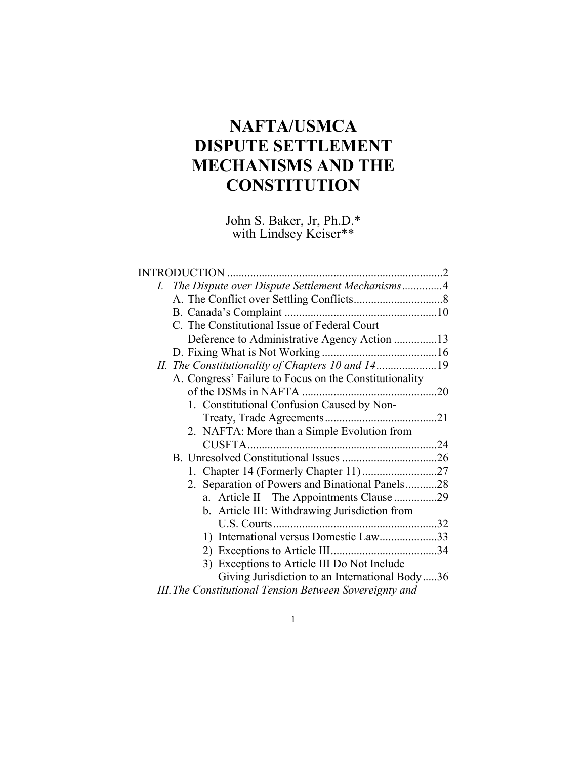# **NAFTA/USMCA DISPUTE SETTLEMENT MECHANISMS AND THE CONSTITUTION**

John S. Baker, Jr, Ph.D.\* with Lindsey Keiser\*\*

| INTRODUCTION                                            |  |
|---------------------------------------------------------|--|
| I. The Dispute over Dispute Settlement Mechanisms4      |  |
|                                                         |  |
|                                                         |  |
| C. The Constitutional Issue of Federal Court            |  |
| Deference to Administrative Agency Action 13            |  |
|                                                         |  |
| II. The Constitutionality of Chapters 10 and 1419       |  |
| A. Congress' Failure to Focus on the Constitutionality  |  |
|                                                         |  |
| 1. Constitutional Confusion Caused by Non-              |  |
|                                                         |  |
| 2. NAFTA: More than a Simple Evolution from             |  |
|                                                         |  |
|                                                         |  |
|                                                         |  |
| 2. Separation of Powers and Binational Panels28         |  |
| a. Article II—The Appointments Clause 29                |  |
| b. Article III: Withdrawing Jurisdiction from           |  |
|                                                         |  |
| 1) International versus Domestic Law33                  |  |
|                                                         |  |
| 3) Exceptions to Article III Do Not Include             |  |
| Giving Jurisdiction to an International Body36          |  |
| III. The Constitutional Tension Between Sovereignty and |  |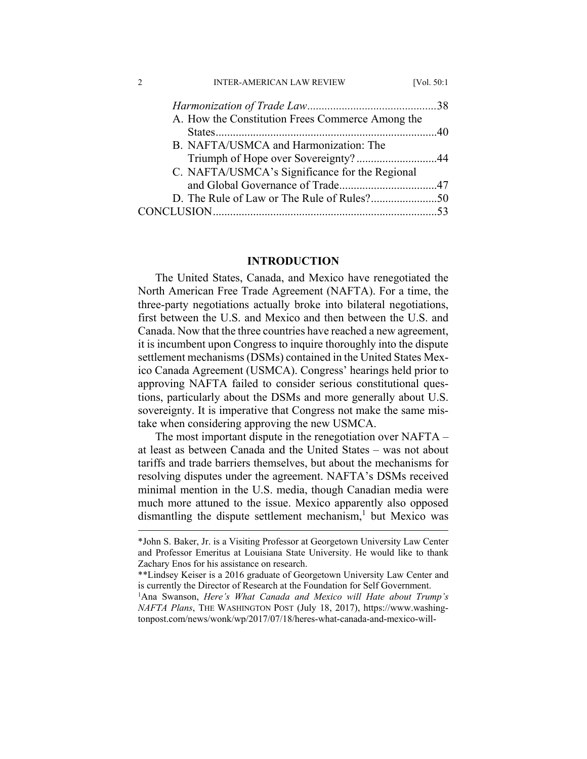| <b>INTER-AMERICAN LAW REVIEW</b>                 | [Vol. $50:1$ |
|--------------------------------------------------|--------------|
|                                                  |              |
| A. How the Constitution Frees Commerce Among the |              |
|                                                  |              |
| B. NAFTA/USMCA and Harmonization: The            |              |
|                                                  |              |
| C. NAFTA/USMCA's Significance for the Regional   |              |
|                                                  |              |
|                                                  |              |
|                                                  |              |

#### **INTRODUCTION**

The United States, Canada, and Mexico have renegotiated the North American Free Trade Agreement (NAFTA). For a time, the three-party negotiations actually broke into bilateral negotiations, first between the U.S. and Mexico and then between the U.S. and Canada. Now that the three countries have reached a new agreement, it is incumbent upon Congress to inquire thoroughly into the dispute settlement mechanisms (DSMs) contained in the United States Mexico Canada Agreement (USMCA). Congress' hearings held prior to approving NAFTA failed to consider serious constitutional questions, particularly about the DSMs and more generally about U.S. sovereignty. It is imperative that Congress not make the same mistake when considering approving the new USMCA.

The most important dispute in the renegotiation over NAFTA – at least as between Canada and the United States – was not about tariffs and trade barriers themselves, but about the mechanisms for resolving disputes under the agreement. NAFTA's DSMs received minimal mention in the U.S. media, though Canadian media were much more attuned to the issue. Mexico apparently also opposed dismantling the dispute settlement mechanism,<sup>1</sup> but Mexico was

 <sup>\*</sup>John S. Baker, Jr. is a Visiting Professor at Georgetown University Law Center and Professor Emeritus at Louisiana State University. He would like to thank Zachary Enos for his assistance on research.

<sup>\*\*</sup>Lindsey Keiser is a 2016 graduate of Georgetown University Law Center and is currently the Director of Research at the Foundation for Self Government.

<sup>&</sup>lt;sup>1</sup>Ana Swanson, *Here's What Canada and Mexico will Hate about Trump's NAFTA Plans*, THE WASHINGTON POST (July 18, 2017), https://www.washingtonpost.com/news/wonk/wp/2017/07/18/heres-what-canada-and-mexico-will-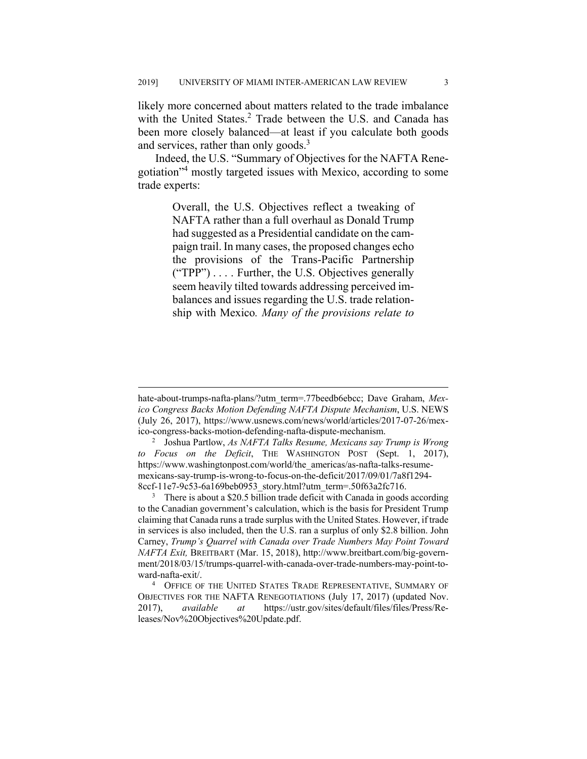likely more concerned about matters related to the trade imbalance with the United States.<sup>2</sup> Trade between the U.S. and Canada has been more closely balanced—at least if you calculate both goods and services, rather than only goods.<sup>3</sup>

Indeed, the U.S. "Summary of Objectives for the NAFTA Renegotiation"4 mostly targeted issues with Mexico, according to some trade experts:

> Overall, the U.S. Objectives reflect a tweaking of NAFTA rather than a full overhaul as Donald Trump had suggested as a Presidential candidate on the campaign trail. In many cases, the proposed changes echo the provisions of the Trans-Pacific Partnership ("TPP") . . . . Further, the U.S. Objectives generally seem heavily tilted towards addressing perceived imbalances and issues regarding the U.S. trade relationship with Mexico*. Many of the provisions relate to*

hate-about-trumps-nafta-plans/?utm\_term=.77beedb6ebcc; Dave Graham, *Mexico Congress Backs Motion Defending NAFTA Dispute Mechanism*, U.S. NEWS (July 26, 2017), https://www.usnews.com/news/world/articles/2017-07-26/mexico-congress-backs-motion-defending-nafta-dispute-mechanism. 2

Joshua Partlow, *As NAFTA Talks Resume, Mexicans say Trump is Wrong to Focus on the Deficit*, THE WASHINGTON POST (Sept. 1, 2017), https://www.washingtonpost.com/world/the\_americas/as-nafta-talks-resumemexicans-say-trump-is-wrong-to-focus-on-the-deficit/2017/09/01/7a8f1294- 8ccf-11e7-9c53-6a169beb0953\_story.html?utm\_term=.50f63a2fc716.

<sup>&</sup>lt;sup>3</sup> There is about a \$20.5 billion trade deficit with Canada in goods according to the Canadian government's calculation, which is the basis for President Trump claiming that Canada runs a trade surplus with the United States. However, if trade in services is also included, then the U.S. ran a surplus of only \$2.8 billion. John Carney, *Trump's Quarrel with Canada over Trade Numbers May Point Toward NAFTA Exit,* BREITBART (Mar. 15, 2018), http://www.breitbart.com/big-government/2018/03/15/trumps-quarrel-with-canada-over-trade-numbers-may-point-toward-nafta-exit/. 4

<sup>&</sup>lt;sup>4</sup> OFFICE OF THE UNITED STATES TRADE REPRESENTATIVE, SUMMARY OF OBJECTIVES FOR THE NAFTA RENEGOTIATIONS (July 17, 2017) (updated Nov. 2017), *available at* https://ustr.gov/sites/default/files/files/Press/Releases/Nov%20Objectives%20Update.pdf.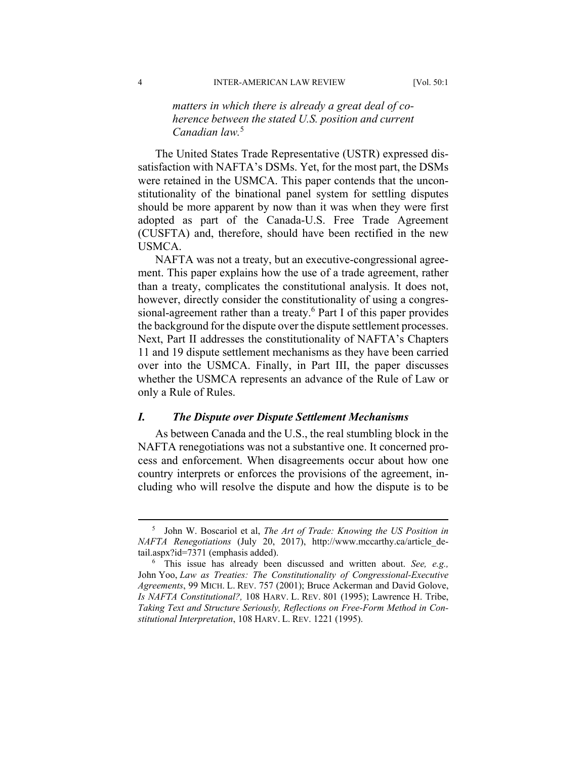# *matters in which there is already a great deal of coherence between the stated U.S. position and current Canadian law.*<sup>5</sup>

The United States Trade Representative (USTR) expressed dissatisfaction with NAFTA's DSMs. Yet, for the most part, the DSMs were retained in the USMCA. This paper contends that the unconstitutionality of the binational panel system for settling disputes should be more apparent by now than it was when they were first adopted as part of the Canada-U.S. Free Trade Agreement (CUSFTA) and, therefore, should have been rectified in the new USMCA.

NAFTA was not a treaty, but an executive-congressional agreement. This paper explains how the use of a trade agreement, rather than a treaty, complicates the constitutional analysis. It does not, however, directly consider the constitutionality of using a congressional-agreement rather than a treaty.<sup>6</sup> Part I of this paper provides the background for the dispute over the dispute settlement processes. Next, Part II addresses the constitutionality of NAFTA's Chapters 11 and 19 dispute settlement mechanisms as they have been carried over into the USMCA. Finally, in Part III, the paper discusses whether the USMCA represents an advance of the Rule of Law or only a Rule of Rules.

#### *I. The Dispute over Dispute Settlement Mechanisms*

As between Canada and the U.S., the real stumbling block in the NAFTA renegotiations was not a substantive one. It concerned process and enforcement. When disagreements occur about how one country interprets or enforces the provisions of the agreement, including who will resolve the dispute and how the dispute is to be

 $rac{1}{5}$ <sup>5</sup> John W. Boscariol et al, *The Art of Trade: Knowing the US Position in NAFTA Renegotiations* (July 20, 2017), http://www.mccarthy.ca/article\_detail.aspx?id=7371 (emphasis added).

<sup>6</sup> This issue has already been discussed and written about. *See, e.g.,* John Yoo, *Law as Treaties: The Constitutionality of Congressional-Executive Agreements*, 99 MICH. L. REV. 757 (2001); Bruce Ackerman and David Golove, *Is NAFTA Constitutional?,* 108 HARV. L. REV. 801 (1995); Lawrence H. Tribe, *Taking Text and Structure Seriously, Reflections on Free-Form Method in Constitutional Interpretation*, 108 HARV. L. REV. 1221 (1995).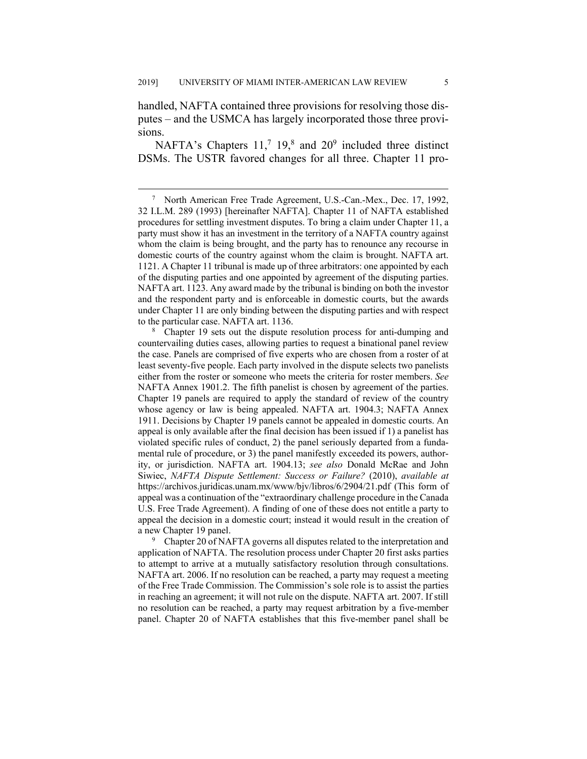handled, NAFTA contained three provisions for resolving those disputes – and the USMCA has largely incorporated those three provisions.

NAFTA's Chapters  $11<sup>7</sup> 19<sup>8</sup>$  and  $20<sup>9</sup>$  included three distinct DSMs. The USTR favored changes for all three. Chapter 11 pro-

<sup>9</sup> Chapter 20 of NAFTA governs all disputes related to the interpretation and application of NAFTA. The resolution process under Chapter 20 first asks parties to attempt to arrive at a mutually satisfactory resolution through consultations. NAFTA art. 2006. If no resolution can be reached, a party may request a meeting of the Free Trade Commission. The Commission's sole role is to assist the parties in reaching an agreement; it will not rule on the dispute. NAFTA art. 2007. If still no resolution can be reached, a party may request arbitration by a five-member panel. Chapter 20 of NAFTA establishes that this five-member panel shall be

 $\overline{7}$ <sup>7</sup> North American Free Trade Agreement, U.S.-Can.-Mex., Dec. 17, 1992, 32 I.L.M. 289 (1993) [hereinafter NAFTA]. Chapter 11 of NAFTA established procedures for settling investment disputes. To bring a claim under Chapter 11, a party must show it has an investment in the territory of a NAFTA country against whom the claim is being brought, and the party has to renounce any recourse in domestic courts of the country against whom the claim is brought. NAFTA art. 1121. A Chapter 11 tribunal is made up of three arbitrators: one appointed by each of the disputing parties and one appointed by agreement of the disputing parties. NAFTA art. 1123. Any award made by the tribunal is binding on both the investor and the respondent party and is enforceable in domestic courts, but the awards under Chapter 11 are only binding between the disputing parties and with respect to the particular case. NAFTA art. 1136.

<sup>&</sup>lt;sup>8</sup> Chapter 19 sets out the dispute resolution process for anti-dumping and countervailing duties cases, allowing parties to request a binational panel review the case. Panels are comprised of five experts who are chosen from a roster of at least seventy-five people. Each party involved in the dispute selects two panelists either from the roster or someone who meets the criteria for roster members. *See* NAFTA Annex 1901.2. The fifth panelist is chosen by agreement of the parties. Chapter 19 panels are required to apply the standard of review of the country whose agency or law is being appealed. NAFTA art. 1904.3; NAFTA Annex 1911. Decisions by Chapter 19 panels cannot be appealed in domestic courts. An appeal is only available after the final decision has been issued if 1) a panelist has violated specific rules of conduct, 2) the panel seriously departed from a fundamental rule of procedure, or 3) the panel manifestly exceeded its powers, authority, or jurisdiction. NAFTA art. 1904.13; *see also* Donald McRae and John Siwiec, *NAFTA Dispute Settlement: Success or Failure?* (2010), *available at* https://archivos.juridicas.unam.mx/www/bjv/libros/6/2904/21.pdf (This form of appeal was a continuation of the "extraordinary challenge procedure in the Canada U.S. Free Trade Agreement). A finding of one of these does not entitle a party to appeal the decision in a domestic court; instead it would result in the creation of a new Chapter 19 panel.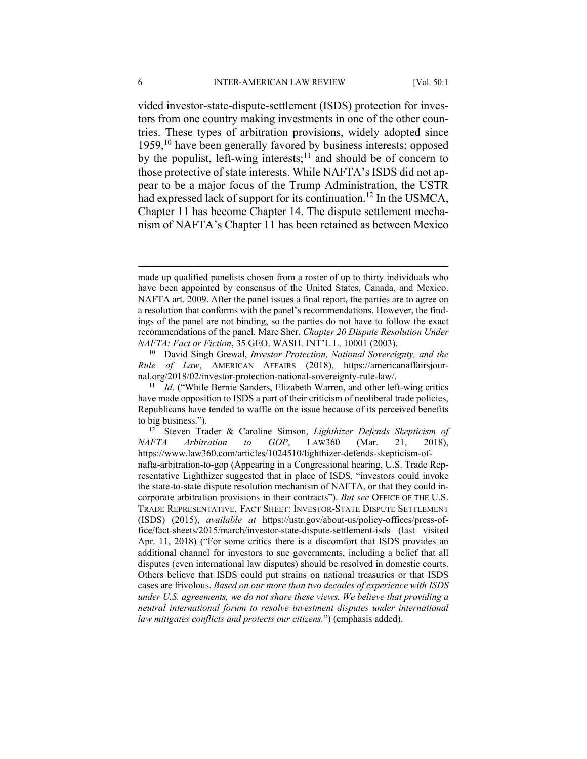vided investor-state-dispute-settlement (ISDS) protection for investors from one country making investments in one of the other countries. These types of arbitration provisions, widely adopted since 1959,10 have been generally favored by business interests; opposed by the populist, left-wing interests;<sup>11</sup> and should be of concern to those protective of state interests. While NAFTA's ISDS did not appear to be a major focus of the Trump Administration, the USTR had expressed lack of support for its continuation.<sup>12</sup> In the USMCA, Chapter 11 has become Chapter 14. The dispute settlement mechanism of NAFTA's Chapter 11 has been retained as between Mexico

made up qualified panelists chosen from a roster of up to thirty individuals who have been appointed by consensus of the United States, Canada, and Mexico. NAFTA art. 2009. After the panel issues a final report, the parties are to agree on a resolution that conforms with the panel's recommendations. However, the findings of the panel are not binding, so the parties do not have to follow the exact recommendations of the panel. Marc Sher, *Chapter 20 Dispute Resolution Under NAFTA: Fact or Fiction*, 35 GEO. WASH. INT'L L. 10001 (2003).

<sup>10</sup> David Singh Grewal, *Investor Protection, National Sovereignty, and the Rule of Law*, AMERICAN AFFAIRS (2018), https://americanaffairsjournal.org/2018/02/investor-protection-national-sovereignty-rule-law/. 11 *Id*. ("While Bernie Sanders, Elizabeth Warren, and other left-wing critics

have made opposition to ISDS a part of their criticism of neoliberal trade policies, Republicans have tended to waffle on the issue because of its perceived benefits

to big business."). 12 Steven Trader & Caroline Simson, *Lighthizer Defends Skepticism of NAFTA Arbitration to GOP*, LAW360 (Mar. 21, 2018), https://www.law360.com/articles/1024510/lighthizer-defends-skepticism-ofnafta-arbitration-to-gop (Appearing in a Congressional hearing, U.S. Trade Representative Lighthizer suggested that in place of ISDS, "investors could invoke the state-to-state dispute resolution mechanism of NAFTA, or that they could incorporate arbitration provisions in their contracts"). *But see* OFFICE OF THE U.S. TRADE REPRESENTATIVE, FACT SHEET: INVESTOR-STATE DISPUTE SETTLEMENT (ISDS) (2015), *available at* https://ustr.gov/about-us/policy-offices/press-office/fact-sheets/2015/march/investor-state-dispute-settlement-isds (last visited Apr. 11, 2018) ("For some critics there is a discomfort that ISDS provides an additional channel for investors to sue governments, including a belief that all disputes (even international law disputes) should be resolved in domestic courts. Others believe that ISDS could put strains on national treasuries or that ISDS cases are frivolous. *Based on our more than two decades of experience with ISDS under U.S. agreements, we do not share these views. We believe that providing a neutral international forum to resolve investment disputes under international law mitigates conflicts and protects our citizens.*") (emphasis added).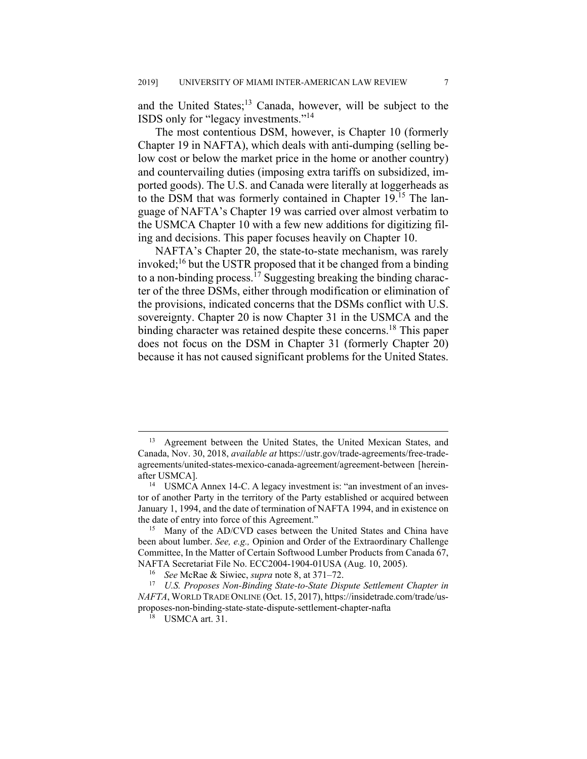and the United States;<sup>13</sup> Canada, however, will be subject to the ISDS only for "legacy investments."14

The most contentious DSM, however, is Chapter 10 (formerly Chapter 19 in NAFTA), which deals with anti-dumping (selling below cost or below the market price in the home or another country) and countervailing duties (imposing extra tariffs on subsidized, imported goods). The U.S. and Canada were literally at loggerheads as to the DSM that was formerly contained in Chapter 19.15 The language of NAFTA's Chapter 19 was carried over almost verbatim to the USMCA Chapter 10 with a few new additions for digitizing filing and decisions. This paper focuses heavily on Chapter 10.

NAFTA's Chapter 20, the state-to-state mechanism, was rarely invoked;<sup>16</sup> but the USTR proposed that it be changed from a binding to a non-binding process.<sup>17</sup> Suggesting breaking the binding character of the three DSMs, either through modification or elimination of the provisions, indicated concerns that the DSMs conflict with U.S. sovereignty. Chapter 20 is now Chapter 31 in the USMCA and the binding character was retained despite these concerns.<sup>18</sup> This paper does not focus on the DSM in Chapter 31 (formerly Chapter 20) because it has not caused significant problems for the United States.

<sup>&</sup>lt;sup>13</sup> Agreement between the United States, the United Mexican States, and Canada, Nov. 30, 2018, *available at* https://ustr.gov/trade-agreements/free-tradeagreements/united-states-mexico-canada-agreement/agreement-between [hereinafter USMCA]. 14 USMCA Annex 14-C. A legacy investment is: "an investment of an inves-

tor of another Party in the territory of the Party established or acquired between January 1, 1994, and the date of termination of NAFTA 1994, and in existence on the date of entry into force of this Agreement."

<sup>&</sup>lt;sup>15</sup> Many of the AD/CVD cases between the United States and China have been about lumber. *See, e.g.,* Opinion and Order of the Extraordinary Challenge Committee, In the Matter of Certain Softwood Lumber Products from Canada 67, NAFTA Secretariat File No. ECC2004-1904-01USA (Aug. 10, 2005).

<sup>16</sup> *See* McRae & Siwiec, *supra* note 8, at 371–72.

<sup>17</sup> *U.S. Proposes Non-Binding State-to-State Dispute Settlement Chapter in NAFTA*, WORLD TRADE ONLINE (Oct. 15, 2017), https://insidetrade.com/trade/usproposes-non-binding-state-state-dispute-settlement-chapter-nafta

<sup>18</sup> USMCA art. 31.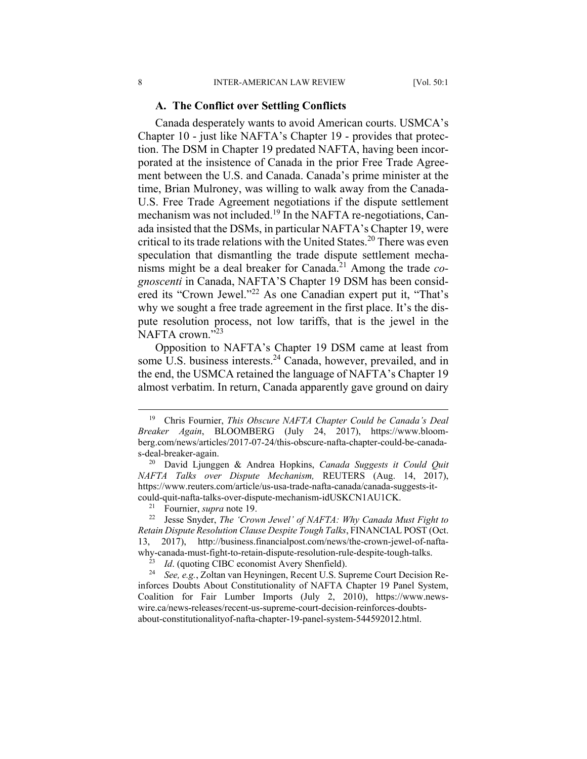#### **A. The Conflict over Settling Conflicts**

Canada desperately wants to avoid American courts. USMCA's Chapter 10 - just like NAFTA's Chapter 19 - provides that protection. The DSM in Chapter 19 predated NAFTA, having been incorporated at the insistence of Canada in the prior Free Trade Agreement between the U.S. and Canada. Canada's prime minister at the time, Brian Mulroney, was willing to walk away from the Canada-U.S. Free Trade Agreement negotiations if the dispute settlement mechanism was not included.<sup>19</sup> In the NAFTA re-negotiations, Canada insisted that the DSMs, in particular NAFTA's Chapter 19, were critical to its trade relations with the United States.<sup>20</sup> There was even speculation that dismantling the trade dispute settlement mechanisms might be a deal breaker for Canada.21 Among the trade *cognoscenti* in Canada, NAFTA'S Chapter 19 DSM has been considered its "Crown Jewel."<sup>22</sup> As one Canadian expert put it, "That's why we sought a free trade agreement in the first place. It's the dispute resolution process, not low tariffs, that is the jewel in the NAFTA crown."<sup>23</sup>

Opposition to NAFTA's Chapter 19 DSM came at least from some U.S. business interests.<sup>24</sup> Canada, however, prevailed, and in the end, the USMCA retained the language of NAFTA's Chapter 19 almost verbatim. In return, Canada apparently gave ground on dairy

 <sup>19</sup> Chris Fournier, *This Obscure NAFTA Chapter Could be Canada's Deal Breaker Again*, BLOOMBERG (July 24, 2017), https://www.bloomberg.com/news/articles/2017-07-24/this-obscure-nafta-chapter-could-be-canadas-deal-breaker-again.

<sup>20</sup> David Ljunggen & Andrea Hopkins, *Canada Suggests it Could Quit NAFTA Talks over Dispute Mechanism,* REUTERS (Aug. 14, 2017), https://www.reuters.com/article/us-usa-trade-nafta-canada/canada-suggests-itcould-quit-nafta-talks-over-dispute-mechanism-idUSKCN1AU1CK. 21 Fournier, *supra* note 19. 22 Jesse Snyder, *The 'Crown Jewel' of NAFTA: Why Canada Must Fight to* 

*Retain Dispute Resolution Clause Despite Tough Talks*, FINANCIAL POST (Oct. 13, 2017), http://business.financialpost.com/news/the-crown-jewel-of-naftawhy-canada-must-fight-to-retain-dispute-resolution-rule-despite-tough-talks.

<sup>23</sup> *Id*. (quoting CIBC economist Avery Shenfield). 24 *See, e.g.*, Zoltan van Heyningen, Recent U.S. Supreme Court Decision Reinforces Doubts About Constitutionality of NAFTA Chapter 19 Panel System, Coalition for Fair Lumber Imports (July 2, 2010), https://www.newswire.ca/news-releases/recent-us-supreme-court-decision-reinforces-doubtsabout-constitutionalityof-nafta-chapter-19-panel-system-544592012.html.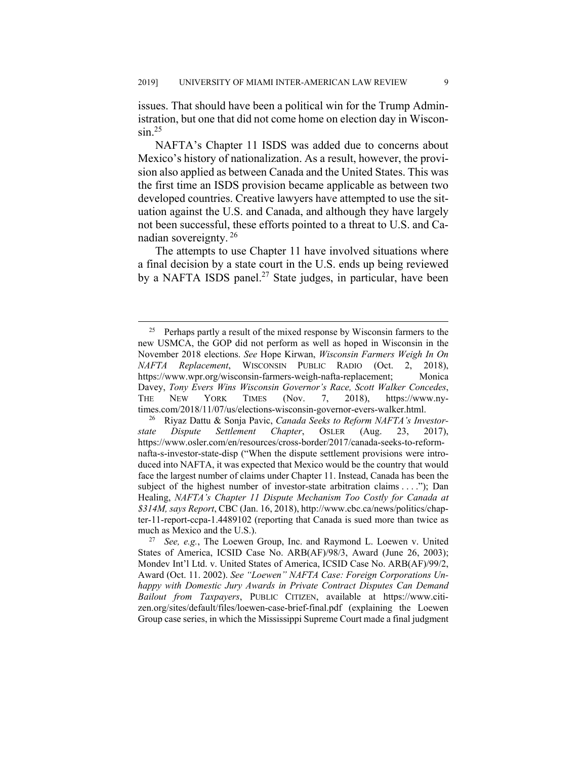issues. That should have been a political win for the Trump Administration, but one that did not come home on election day in Wiscon- $\sin^{25}$ 

NAFTA's Chapter 11 ISDS was added due to concerns about Mexico's history of nationalization. As a result, however, the provision also applied as between Canada and the United States. This was the first time an ISDS provision became applicable as between two developed countries. Creative lawyers have attempted to use the situation against the U.S. and Canada, and although they have largely not been successful, these efforts pointed to a threat to U.S. and Canadian sovereignty. 26

The attempts to use Chapter 11 have involved situations where a final decision by a state court in the U.S. ends up being reviewed by a NAFTA ISDS panel.<sup>27</sup> State judges, in particular, have been

<sup>&</sup>lt;sup>25</sup> Perhaps partly a result of the mixed response by Wisconsin farmers to the new USMCA, the GOP did not perform as well as hoped in Wisconsin in the November 2018 elections. *See* Hope Kirwan, *Wisconsin Farmers Weigh In On NAFTA Replacement*, WISCONSIN PUBLIC RADIO (Oct. 2, 2018), https://www.wpr.org/wisconsin-farmers-weigh-nafta-replacement; Monica Davey, *Tony Evers Wins Wisconsin Governor's Race, Scott Walker Concedes*, THE NEW YORK TIMES (Nov. 7, 2018), https://www.nytimes.com/2018/11/07/us/elections-wisconsin-governor-evers-walker.html.

<sup>26</sup> Riyaz Dattu & Sonja Pavic, *Canada Seeks to Reform NAFTA's Investorstate Dispute Settlement Chapter*, OSLER (Aug. 23, 2017), https://www.osler.com/en/resources/cross-border/2017/canada-seeks-to-reformnafta-s-investor-state-disp ("When the dispute settlement provisions were introduced into NAFTA, it was expected that Mexico would be the country that would face the largest number of claims under Chapter 11. Instead, Canada has been the subject of the highest number of investor-state arbitration claims . . . ."); Dan Healing, *NAFTA's Chapter 11 Dispute Mechanism Too Costly for Canada at \$314M, says Report*, CBC (Jan. 16, 2018), http://www.cbc.ca/news/politics/chapter-11-report-ccpa-1.4489102 (reporting that Canada is sued more than twice as much as Mexico and the U.S.).

<sup>27</sup> *See, e.g.*, The Loewen Group, Inc. and Raymond L. Loewen v. United States of America, ICSID Case No. ARB(AF)/98/3, Award (June 26, 2003); Mondev Int'l Ltd. v. United States of America, ICSID Case No. ARB(AF)/99/2, Award (Oct. 11. 2002). *See "Loewen" NAFTA Case: Foreign Corporations Unhappy with Domestic Jury Awards in Private Contract Disputes Can Demand Bailout from Taxpayers*, PUBLIC CITIZEN, available at https://www.citizen.org/sites/default/files/loewen-case-brief-final.pdf (explaining the Loewen Group case series, in which the Mississippi Supreme Court made a final judgment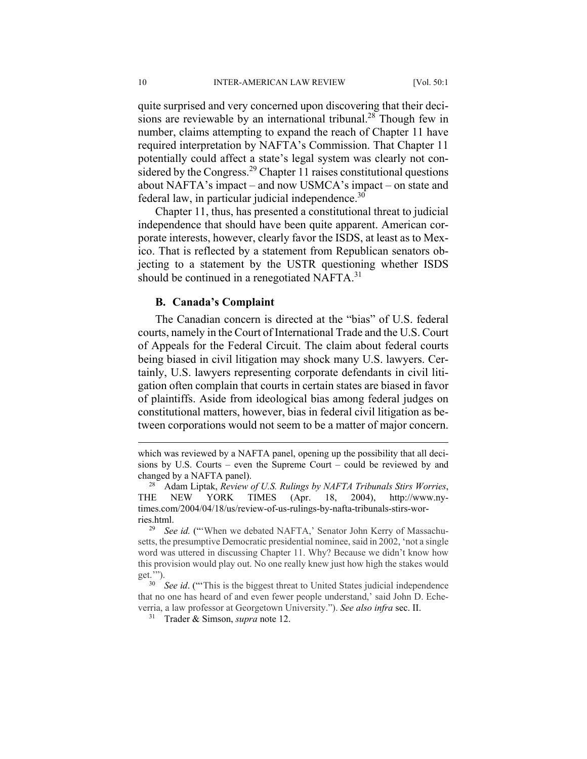quite surprised and very concerned upon discovering that their decisions are reviewable by an international tribunal.<sup>28</sup> Though few in number, claims attempting to expand the reach of Chapter 11 have required interpretation by NAFTA's Commission. That Chapter 11 potentially could affect a state's legal system was clearly not considered by the Congress.<sup>29</sup> Chapter 11 raises constitutional questions about NAFTA's impact – and now USMCA's impact – on state and federal law, in particular judicial independence. $30$ 

Chapter 11, thus, has presented a constitutional threat to judicial independence that should have been quite apparent. American corporate interests, however, clearly favor the ISDS, at least as to Mexico. That is reflected by a statement from Republican senators objecting to a statement by the USTR questioning whether ISDS should be continued in a renegotiated NAFTA. $31$ 

#### **B. Canada's Complaint**

The Canadian concern is directed at the "bias" of U.S. federal courts, namely in the Court of International Trade and the U.S. Court of Appeals for the Federal Circuit. The claim about federal courts being biased in civil litigation may shock many U.S. lawyers. Certainly, U.S. lawyers representing corporate defendants in civil litigation often complain that courts in certain states are biased in favor of plaintiffs. Aside from ideological bias among federal judges on constitutional matters, however, bias in federal civil litigation as between corporations would not seem to be a matter of major concern.

31 Trader & Simson, *supra* note 12.

which was reviewed by a NAFTA panel, opening up the possibility that all decisions by U.S. Courts – even the Supreme Court – could be reviewed by and changed by a NAFTA panel).

<sup>28</sup> Adam Liptak, *Review of U.S. Rulings by NAFTA Tribunals Stirs Worries*, THE NEW YORK TIMES (Apr. 18, 2004), http://www.nytimes.com/2004/04/18/us/review-of-us-rulings-by-nafta-tribunals-stirs-worries.html.

<sup>29</sup> *See id.* ("'When we debated NAFTA,' Senator John Kerry of Massachusetts, the presumptive Democratic presidential nominee, said in 2002, 'not a single word was uttered in discussing Chapter 11. Why? Because we didn't know how this provision would play out. No one really knew just how high the stakes would get.'").

<sup>&</sup>lt;sup>30</sup> *See id.* ("This is the biggest threat to United States judicial independence that no one has heard of and even fewer people understand,' said John D. Echeverria, a law professor at Georgetown University."). *See also infra* sec. II.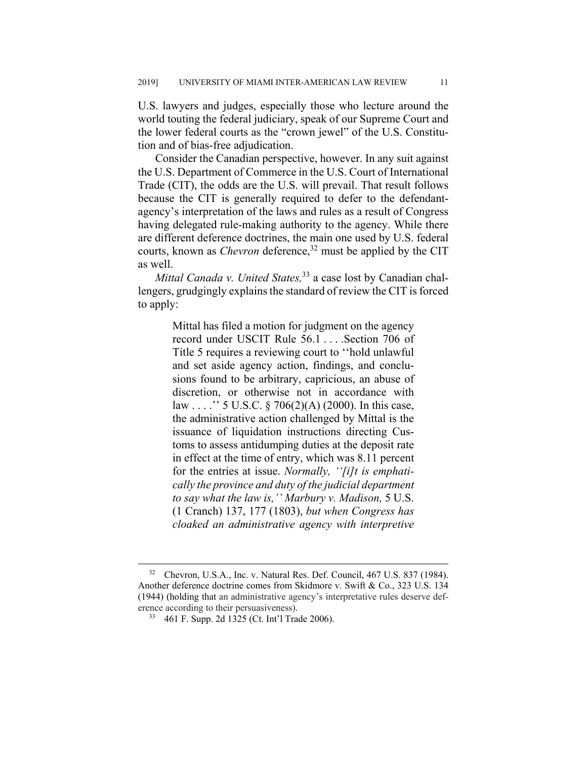U.S. lawyers and judges, especially those who lecture around the world touting the federal judiciary, speak of our Supreme Court and the lower federal courts as the "crown jewel" of the U.S. Constitution and of bias-free adjudication.

Consider the Canadian perspective, however. In any suit against the U.S. Department of Commerce in the U.S. Court of International Trade (CIT), the odds are the U.S. will prevail. That result follows because the CIT is generally required to defer to the defendantagency's interpretation of the laws and rules as a result of Congress having delegated rule-making authority to the agency. While there are different deference doctrines, the main one used by U.S. federal courts, known as *Chevron* deference,<sup>32</sup> must be applied by the CIT as well.

*Mittal Canada v. United States*<sup>33</sup> a case lost by Canadian challengers, grudgingly explains the standard of review the CIT is forced to apply:

> Mittal has filed a motion for judgment on the agency record under USCIT Rule 56.1 . . . .Section 706 of Title 5 requires a reviewing court to ''hold unlawful and set aside agency action, findings, and conclusions found to be arbitrary, capricious, an abuse of discretion, or otherwise not in accordance with law . . . .'' 5 U.S.C. § 706(2)(A) (2000). In this case, the administrative action challenged by Mittal is the issuance of liquidation instructions directing Customs to assess antidumping duties at the deposit rate in effect at the time of entry, which was 8.11 percent for the entries at issue. *Normally, ''[i]t is emphatically the province and duty of the judicial department to say what the law is,'' Marbury v. Madison,* 5 U.S. (1 Cranch) 137, 177 (1803), *but when Congress has cloaked an administrative agency with interpretive*

<sup>&</sup>lt;sup>32</sup> Chevron, U.S.A., Inc. v. Natural Res. Def. Council, 467 U.S. 837 (1984). Another deference doctrine comes from Skidmore v. Swift & Co., 323 U.S. 134 (1944) (holding that an administrative agency's interpretative rules deserve deference according to their persuasiveness).

<sup>33 461</sup> F. Supp. 2d 1325 (Ct. Int'l Trade 2006).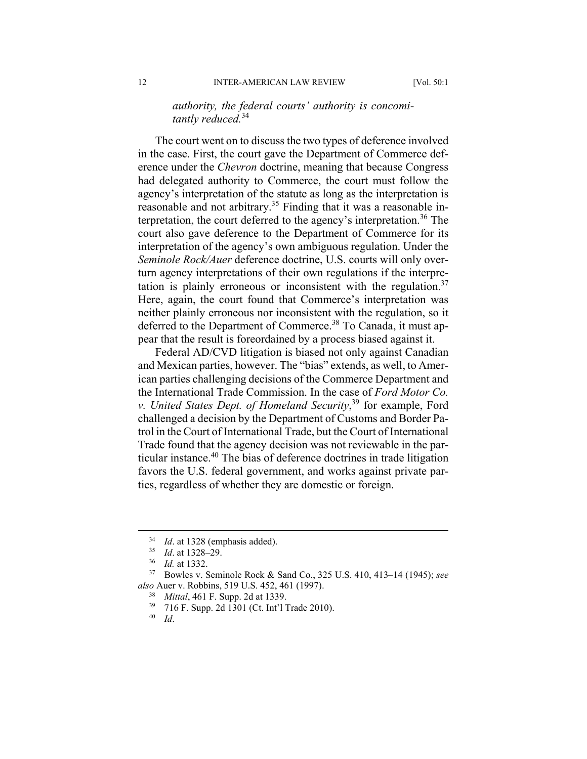# *authority, the federal courts' authority is concomitantly reduced.*<sup>34</sup>

The court went on to discuss the two types of deference involved in the case. First, the court gave the Department of Commerce deference under the *Chevron* doctrine, meaning that because Congress had delegated authority to Commerce, the court must follow the agency's interpretation of the statute as long as the interpretation is reasonable and not arbitrary.35 Finding that it was a reasonable interpretation, the court deferred to the agency's interpretation. 36 The court also gave deference to the Department of Commerce for its interpretation of the agency's own ambiguous regulation. Under the *Seminole Rock/Auer* deference doctrine, U.S. courts will only overturn agency interpretations of their own regulations if the interpretation is plainly erroneous or inconsistent with the regulation.<sup>37</sup> Here, again, the court found that Commerce's interpretation was neither plainly erroneous nor inconsistent with the regulation, so it deferred to the Department of Commerce.<sup>38</sup> To Canada, it must appear that the result is foreordained by a process biased against it.

Federal AD/CVD litigation is biased not only against Canadian and Mexican parties, however. The "bias" extends, as well, to American parties challenging decisions of the Commerce Department and the International Trade Commission. In the case of *Ford Motor Co. v. United States Dept. of Homeland Security*, 39 for example, Ford challenged a decision by the Department of Customs and Border Patrol in the Court of International Trade, but the Court of International Trade found that the agency decision was not reviewable in the particular instance.40 The bias of deference doctrines in trade litigation favors the U.S. federal government, and works against private parties, regardless of whether they are domestic or foreign.

<sup>&</sup>lt;sup>34</sup> *Id.* at 1328 (emphasis added).

<sup>35</sup> *Id*. at 1328–29.

 $\frac{36}{37}$  *Id.* at 1332.

<sup>37</sup> Bowles v. Seminole Rock & Sand Co., 325 U.S. 410, 413–14 (1945); *see also* Auer v. Robbins, 519 U.S. 452, 461 (1997).

*Mittal*, 461 F. Supp. 2d at 1339.

 $^{39}$  716 F. Supp. 2d 1301 (Ct. Int'l Trade 2010).

<sup>40</sup> *Id*.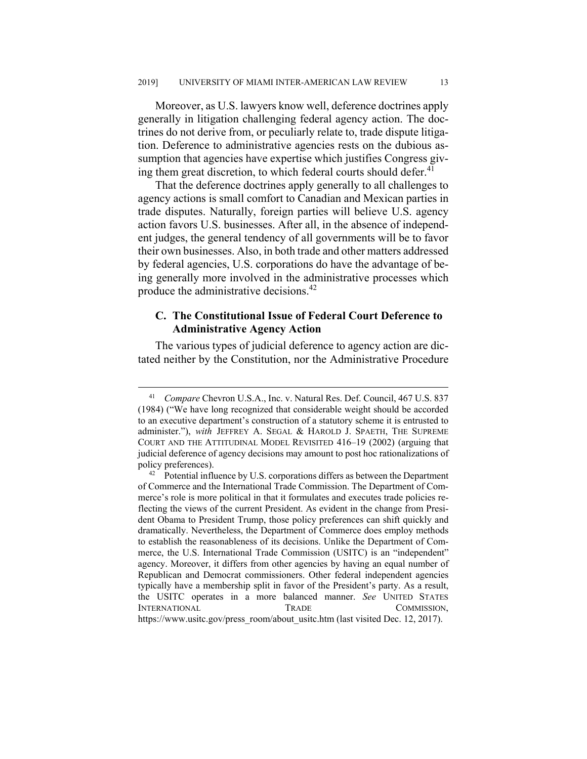Moreover, as U.S. lawyers know well, deference doctrines apply generally in litigation challenging federal agency action. The doctrines do not derive from, or peculiarly relate to, trade dispute litigation. Deference to administrative agencies rests on the dubious assumption that agencies have expertise which justifies Congress giving them great discretion, to which federal courts should defer.<sup>41</sup>

That the deference doctrines apply generally to all challenges to agency actions is small comfort to Canadian and Mexican parties in trade disputes. Naturally, foreign parties will believe U.S. agency action favors U.S. businesses. After all, in the absence of independent judges, the general tendency of all governments will be to favor their own businesses. Also, in both trade and other matters addressed by federal agencies, U.S. corporations do have the advantage of being generally more involved in the administrative processes which produce the administrative decisions.42

# **C. The Constitutional Issue of Federal Court Deference to Administrative Agency Action**

The various types of judicial deference to agency action are dictated neither by the Constitution, nor the Administrative Procedure

 <sup>41</sup> *Compare* Chevron U.S.A., Inc. v. Natural Res. Def. Council, 467 U.S. 837 (1984) ("We have long recognized that considerable weight should be accorded to an executive department's construction of a statutory scheme it is entrusted to administer."), *with* JEFFREY A. SEGAL & HAROLD J. SPAETH, THE SUPREME COURT AND THE ATTITUDINAL MODEL REVISITED 416–19 (2002) (arguing that judicial deference of agency decisions may amount to post hoc rationalizations of

policy preferences).<br><sup>42</sup> Potential influence by U.S. corporations differs as between the Department of Commerce and the International Trade Commission. The Department of Commerce's role is more political in that it formulates and executes trade policies reflecting the views of the current President. As evident in the change from President Obama to President Trump, those policy preferences can shift quickly and dramatically. Nevertheless, the Department of Commerce does employ methods to establish the reasonableness of its decisions. Unlike the Department of Commerce, the U.S. International Trade Commission (USITC) is an "independent" agency. Moreover, it differs from other agencies by having an equal number of Republican and Democrat commissioners. Other federal independent agencies typically have a membership split in favor of the President's party. As a result, the USITC operates in a more balanced manner. *See* UNITED STATES INTERNATIONAL TRADE COMMISSION, https://www.usitc.gov/press\_room/about\_usitc.htm (last visited Dec. 12, 2017).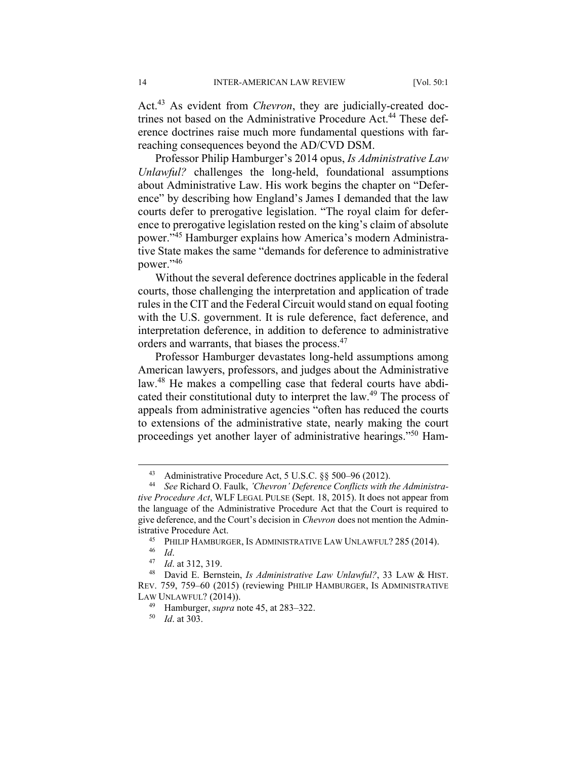Act.43 As evident from *Chevron*, they are judicially-created doctrines not based on the Administrative Procedure Act.<sup>44</sup> These deference doctrines raise much more fundamental questions with farreaching consequences beyond the AD/CVD DSM.

Professor Philip Hamburger's 2014 opus, *Is Administrative Law Unlawful?* challenges the long-held, foundational assumptions about Administrative Law. His work begins the chapter on "Deference" by describing how England's James I demanded that the law courts defer to prerogative legislation. "The royal claim for deference to prerogative legislation rested on the king's claim of absolute power."45 Hamburger explains how America's modern Administrative State makes the same "demands for deference to administrative power."<sup>46</sup>

Without the several deference doctrines applicable in the federal courts, those challenging the interpretation and application of trade rules in the CIT and the Federal Circuit would stand on equal footing with the U.S. government. It is rule deference, fact deference, and interpretation deference, in addition to deference to administrative orders and warrants, that biases the process.47

Professor Hamburger devastates long-held assumptions among American lawyers, professors, and judges about the Administrative law.<sup>48</sup> He makes a compelling case that federal courts have abdicated their constitutional duty to interpret the law.<sup>49</sup> The process of appeals from administrative agencies "often has reduced the courts to extensions of the administrative state, nearly making the court proceedings yet another layer of administrative hearings."50 Ham-

 <sup>43</sup> Administrative Procedure Act, 5 U.S.C. §§ 500–96 (2012). 44 *See* Richard O. Faulk, *'Chevron' Deference Conflicts with the Administrative Procedure Act*, WLF LEGAL PULSE (Sept. 18, 2015). It does not appear from the language of the Administrative Procedure Act that the Court is required to give deference, and the Court's decision in *Chevron* does not mention the Administrative Procedure Act.

<sup>45</sup> PHILIP HAMBURGER, IS ADMINISTRATIVE LAW UNLAWFUL? 285 (2014).

<sup>46</sup> *Id*. 47 *Id*. at 312, 319.

<sup>48</sup> David E. Bernstein, *Is Administrative Law Unlawful?*, 33 LAW & HIST. REV. 759, 759–60 (2015) (reviewing PHILIP HAMBURGER, IS ADMINISTRATIVE LAW UNLAWFUL? (2014)).

<sup>49</sup> Hamburger, *supra* note 45, at 283–322.

<sup>50</sup> *Id*. at 303.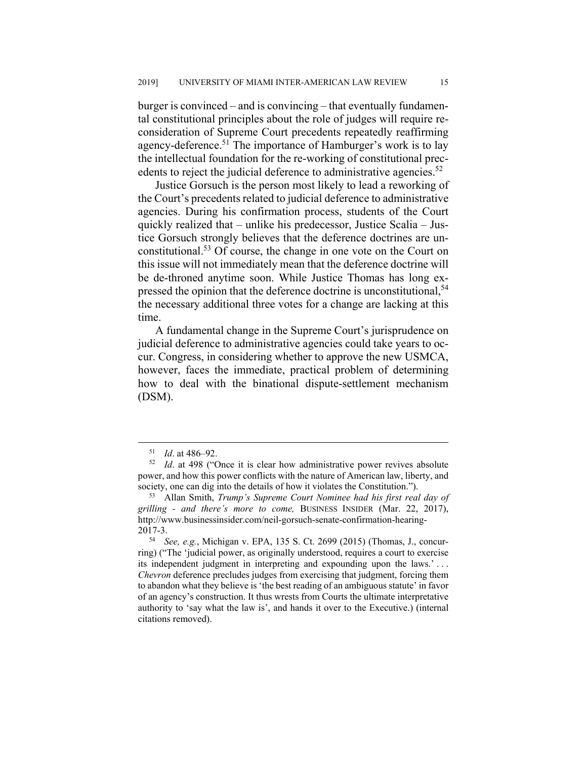burger is convinced – and is convincing – that eventually fundamental constitutional principles about the role of judges will require reconsideration of Supreme Court precedents repeatedly reaffirming agency-deference.<sup>51</sup> The importance of Hamburger's work is to lay the intellectual foundation for the re-working of constitutional precedents to reject the judicial deference to administrative agencies. $52$ 

Justice Gorsuch is the person most likely to lead a reworking of the Court's precedents related to judicial deference to administrative agencies. During his confirmation process, students of the Court quickly realized that – unlike his predecessor, Justice Scalia – Justice Gorsuch strongly believes that the deference doctrines are unconstitutional.53 Of course, the change in one vote on the Court on this issue will not immediately mean that the deference doctrine will be de-throned anytime soon. While Justice Thomas has long expressed the opinion that the deference doctrine is unconstitutional,<sup>54</sup> the necessary additional three votes for a change are lacking at this time.

A fundamental change in the Supreme Court's jurisprudence on judicial deference to administrative agencies could take years to occur. Congress, in considering whether to approve the new USMCA, however, faces the immediate, practical problem of determining how to deal with the binational dispute-settlement mechanism (DSM).

 <sup>51</sup> *Id*. at 486–92.

<sup>52</sup> *Id*. at 498 ("Once it is clear how administrative power revives absolute power, and how this power conflicts with the nature of American law, liberty, and society, one can dig into the details of how it violates the Constitution.").

<sup>53</sup> Allan Smith, *Trump's Supreme Court Nominee had his first real day of grilling - and there's more to come,* BUSINESS INSIDER (Mar. 22, 2017), http://www.businessinsider.com/neil-gorsuch-senate-confirmation-hearing-2017-3.

<sup>54</sup> *See, e.g.*, Michigan v. EPA, 135 S. Ct. 2699 (2015) (Thomas, J., concurring) ("The 'judicial power, as originally understood, requires a court to exercise its independent judgment in interpreting and expounding upon the laws.' . . . *Chevron* deference precludes judges from exercising that judgment, forcing them to abandon what they believe is 'the best reading of an ambiguous statute' in favor of an agency's construction. It thus wrests from Courts the ultimate interpretative authority to 'say what the law is', and hands it over to the Executive.) (internal citations removed).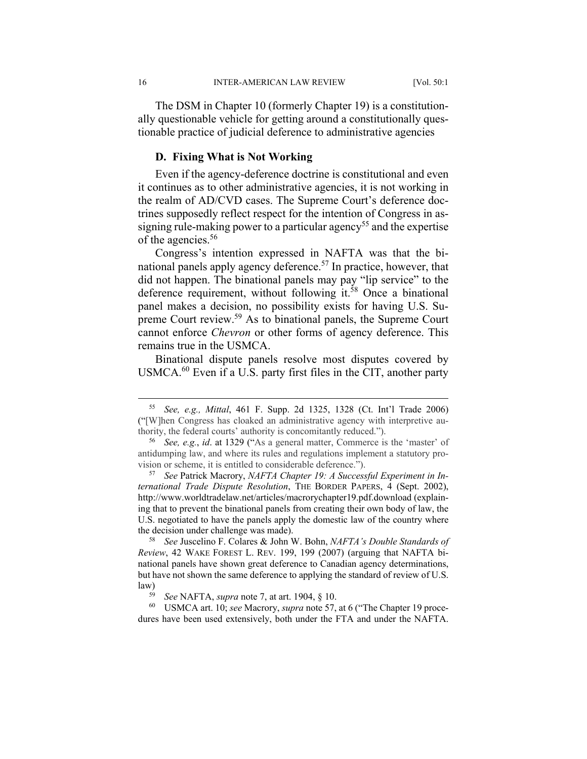The DSM in Chapter 10 (formerly Chapter 19) is a constitutionally questionable vehicle for getting around a constitutionally questionable practice of judicial deference to administrative agencies

# **D. Fixing What is Not Working**

Even if the agency-deference doctrine is constitutional and even it continues as to other administrative agencies, it is not working in the realm of AD/CVD cases. The Supreme Court's deference doctrines supposedly reflect respect for the intention of Congress in assigning rule-making power to a particular agency<sup>55</sup> and the expertise of the agencies.<sup>56</sup>

Congress's intention expressed in NAFTA was that the binational panels apply agency deference.<sup>57</sup> In practice, however, that did not happen. The binational panels may pay "lip service" to the deference requirement, without following it.<sup>58</sup> Once a binational panel makes a decision, no possibility exists for having U.S. Supreme Court review.59 As to binational panels, the Supreme Court cannot enforce *Chevron* or other forms of agency deference. This remains true in the USMCA.

Binational dispute panels resolve most disputes covered by USMCA.<sup>60</sup> Even if a U.S. party first files in the CIT, another party

<sup>58</sup> *See* Juscelino F. Colares & John W. Bohn, *NAFTA's Double Standards of Review*, 42 WAKE FOREST L. REV. 199, 199 (2007) (arguing that NAFTA binational panels have shown great deference to Canadian agency determinations, but have not shown the same deference to applying the standard of review of U.S.  $\lim_{59}$ 

60 USMCA art. 10; *see* Macrory, *supra* note 57, at 6 ("The Chapter 19 procedures have been used extensively, both under the FTA and under the NAFTA.

 <sup>55</sup> *See, e.g., Mittal*, 461 F. Supp. 2d 1325, 1328 (Ct. Int'l Trade 2006) ("[W]hen Congress has cloaked an administrative agency with interpretive authority, the federal courts' authority is concomitantly reduced.").

<sup>56</sup> *See, e.g.*, *id*. at 1329 ("As a general matter, Commerce is the 'master' of antidumping law, and where its rules and regulations implement a statutory provision or scheme, it is entitled to considerable deference.").

<sup>57</sup> *See* Patrick Macrory, *NAFTA Chapter 19: A Successful Experiment in International Trade Dispute Resolution*, THE BORDER PAPERS, 4 (Sept. 2002), http://www.worldtradelaw.net/articles/macrorychapter19.pdf.download (explaining that to prevent the binational panels from creating their own body of law, the U.S. negotiated to have the panels apply the domestic law of the country where the decision under challenge was made).

<sup>59</sup> *See* NAFTA, *supra* note 7, at art. 1904, § 10.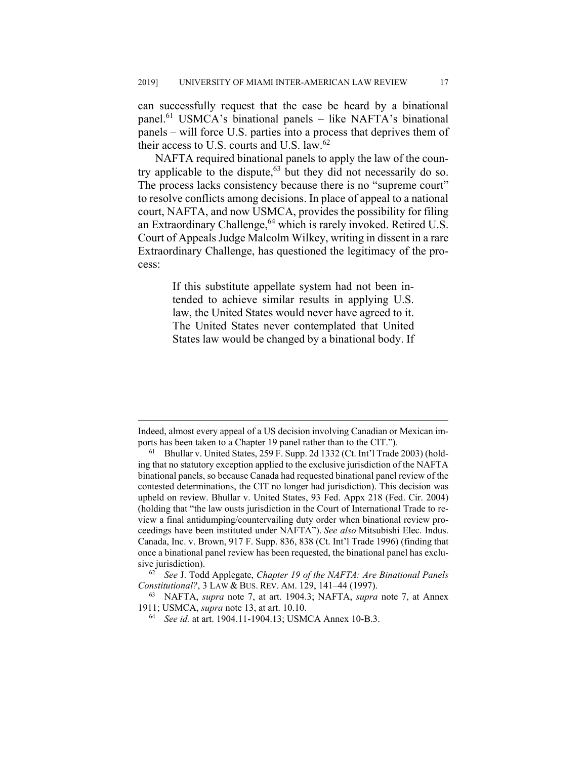can successfully request that the case be heard by a binational panel.<sup>61</sup> USMCA's binational panels – like NAFTA's binational panels – will force U.S. parties into a process that deprives them of their access to U.S. courts and U.S. law. $62$ 

NAFTA required binational panels to apply the law of the country applicable to the dispute, $63$  but they did not necessarily do so. The process lacks consistency because there is no "supreme court" to resolve conflicts among decisions. In place of appeal to a national court, NAFTA, and now USMCA, provides the possibility for filing an Extraordinary Challenge,<sup>64</sup> which is rarely invoked. Retired U.S. Court of Appeals Judge Malcolm Wilkey, writing in dissent in a rare Extraordinary Challenge, has questioned the legitimacy of the process:

> If this substitute appellate system had not been intended to achieve similar results in applying U.S. law, the United States would never have agreed to it. The United States never contemplated that United States law would be changed by a binational body. If

Indeed, almost every appeal of a US decision involving Canadian or Mexican imports has been taken to a Chapter 19 panel rather than to the CIT.").

<sup>61</sup> Bhullar v. United States, 259 F. Supp. 2d 1332 (Ct. Int'l Trade 2003) (holding that no statutory exception applied to the exclusive jurisdiction of the NAFTA binational panels, so because Canada had requested binational panel review of the contested determinations, the CIT no longer had jurisdiction). This decision was upheld on review. Bhullar v. United States, 93 Fed. Appx 218 (Fed. Cir. 2004) (holding that "the law ousts jurisdiction in the Court of International Trade to review a final antidumping/countervailing duty order when binational review proceedings have been instituted under NAFTA"). *See also* Mitsubishi Elec. Indus. Canada, Inc. v. Brown, 917 F. Supp. 836, 838 (Ct. Int'l Trade 1996) (finding that once a binational panel review has been requested, the binational panel has exclusive jurisdiction).

<sup>62</sup> *See* J. Todd Applegate, *Chapter 19 of the NAFTA: Are Binational Panels Constitutional?*, 3 LAW & BUS. REV. AM. 129, 141–44 (1997).

<sup>63</sup> NAFTA, *supra* note 7, at art. 1904.3; NAFTA, *supra* note 7, at Annex 1911; USMCA, *supra* note 13, at art. 10.10.

<sup>64</sup> *See id.* at art. 1904.11-1904.13; USMCA Annex 10-B.3.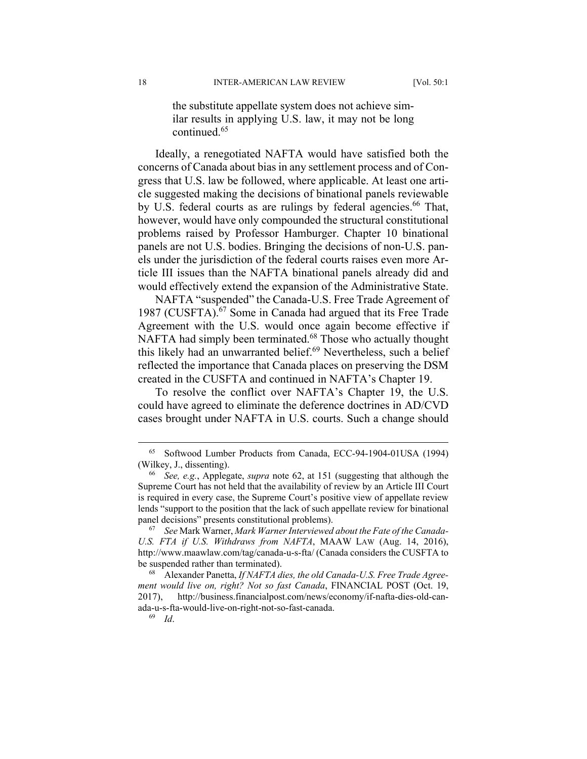the substitute appellate system does not achieve similar results in applying U.S. law, it may not be long continued.65

Ideally, a renegotiated NAFTA would have satisfied both the concerns of Canada about bias in any settlement process and of Congress that U.S. law be followed, where applicable. At least one article suggested making the decisions of binational panels reviewable by U.S. federal courts as are rulings by federal agencies.<sup>66</sup> That, however, would have only compounded the structural constitutional problems raised by Professor Hamburger. Chapter 10 binational panels are not U.S. bodies. Bringing the decisions of non-U.S. panels under the jurisdiction of the federal courts raises even more Article III issues than the NAFTA binational panels already did and would effectively extend the expansion of the Administrative State.

NAFTA "suspended" the Canada-U.S. Free Trade Agreement of 1987 (CUSFTA).<sup>67</sup> Some in Canada had argued that its Free Trade Agreement with the U.S. would once again become effective if NAFTA had simply been terminated.<sup>68</sup> Those who actually thought this likely had an unwarranted belief.<sup>69</sup> Nevertheless, such a belief reflected the importance that Canada places on preserving the DSM created in the CUSFTA and continued in NAFTA's Chapter 19.

To resolve the conflict over NAFTA's Chapter 19, the U.S. could have agreed to eliminate the deference doctrines in AD/CVD cases brought under NAFTA in U.S. courts. Such a change should

 <sup>65</sup> Softwood Lumber Products from Canada, ECC-94-1904-01USA (1994) (Wilkey, J., dissenting).

<sup>66</sup> *See, e.g.*, Applegate, *supra* note 62, at 151 (suggesting that although the Supreme Court has not held that the availability of review by an Article III Court is required in every case, the Supreme Court's positive view of appellate review lends "support to the position that the lack of such appellate review for binational panel decisions" presents constitutional problems).

<sup>67</sup> *See* Mark Warner, *Mark Warner Interviewed about the Fate of the Canada-U.S. FTA if U.S. Withdraws from NAFTA*, MAAW LAW (Aug. 14, 2016), http://www.maawlaw.com/tag/canada-u-s-fta/ (Canada considers the CUSFTA to be suspended rather than terminated).

<sup>68</sup> Alexander Panetta, *If NAFTA dies, the old Canada-U.S. Free Trade Agreement would live on, right? Not so fast Canada*, FINANCIAL POST (Oct. 19, 2017), http://business.financialpost.com/news/economy/if-nafta-dies-old-canada-u-s-fta-would-live-on-right-not-so-fast-canada.

<sup>69</sup> *Id*.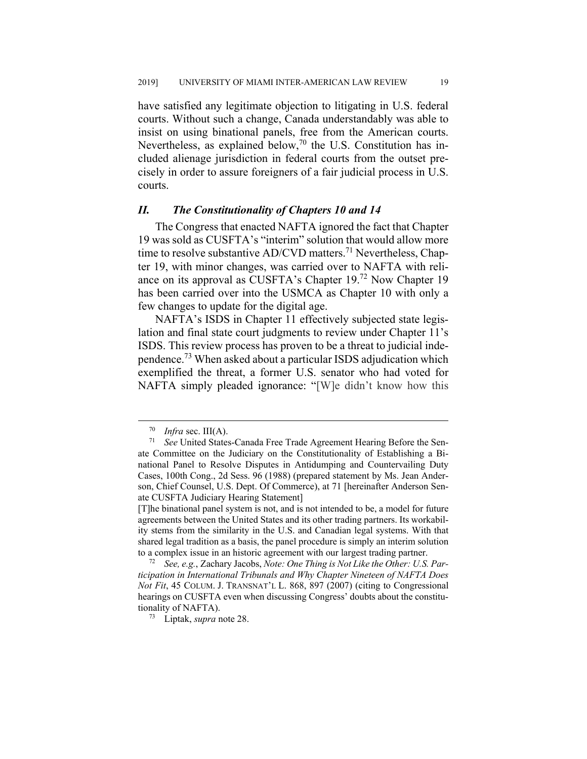have satisfied any legitimate objection to litigating in U.S. federal courts. Without such a change, Canada understandably was able to insist on using binational panels, free from the American courts. Nevertheless, as explained below,  $70$  the U.S. Constitution has included alienage jurisdiction in federal courts from the outset precisely in order to assure foreigners of a fair judicial process in U.S. courts.

#### *II. The Constitutionality of Chapters 10 and 14*

The Congress that enacted NAFTA ignored the fact that Chapter 19 was sold as CUSFTA's "interim" solution that would allow more time to resolve substantive AD/CVD matters.<sup>71</sup> Nevertheless, Chapter 19, with minor changes, was carried over to NAFTA with reliance on its approval as CUSFTA's Chapter 19.72 Now Chapter 19 has been carried over into the USMCA as Chapter 10 with only a few changes to update for the digital age.

NAFTA's ISDS in Chapter 11 effectively subjected state legislation and final state court judgments to review under Chapter 11's ISDS. This review process has proven to be a threat to judicial independence.73 When asked about a particular ISDS adjudication which exemplified the threat, a former U.S. senator who had voted for NAFTA simply pleaded ignorance: "[W]e didn't know how this

 $^{70}$  *Infra* sec. III(A).<br><sup>71</sup> See United States

See United States-Canada Free Trade Agreement Hearing Before the Senate Committee on the Judiciary on the Constitutionality of Establishing a Binational Panel to Resolve Disputes in Antidumping and Countervailing Duty Cases, 100th Cong., 2d Sess. 96 (1988) (prepared statement by Ms. Jean Anderson, Chief Counsel, U.S. Dept. Of Commerce), at 71 [hereinafter Anderson Senate CUSFTA Judiciary Hearing Statement]

<sup>[</sup>T]he binational panel system is not, and is not intended to be, a model for future agreements between the United States and its other trading partners. Its workability stems from the similarity in the U.S. and Canadian legal systems. With that shared legal tradition as a basis, the panel procedure is simply an interim solution to a complex issue in an historic agreement with our largest trading partner.

<sup>72</sup> *See, e.g.*, Zachary Jacobs, *Note: One Thing is Not Like the Other: U.S. Participation in International Tribunals and Why Chapter Nineteen of NAFTA Does Not Fit*, 45 COLUM. J. TRANSNAT'L L. 868, 897 (2007) (citing to Congressional hearings on CUSFTA even when discussing Congress' doubts about the constitutionality of NAFTA).

<sup>73</sup> Liptak, *supra* note 28.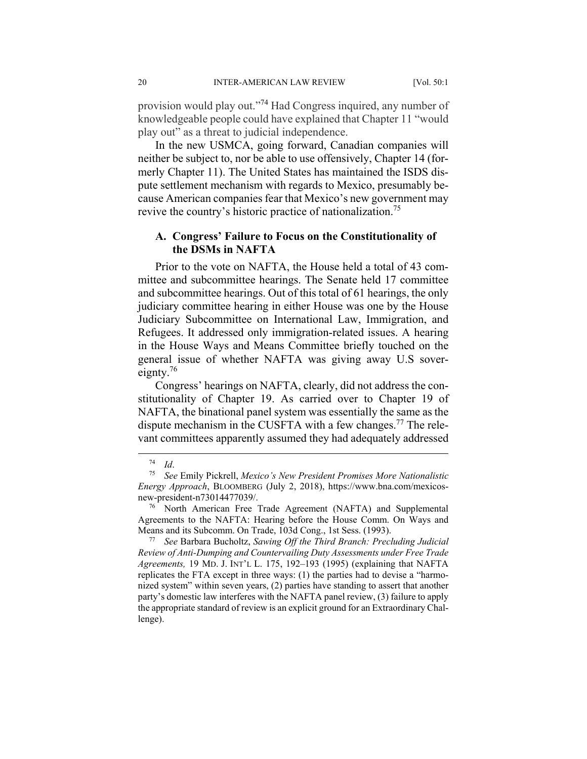provision would play out."74 Had Congress inquired, any number of knowledgeable people could have explained that Chapter 11 "would play out" as a threat to judicial independence.

In the new USMCA, going forward, Canadian companies will neither be subject to, nor be able to use offensively, Chapter 14 (formerly Chapter 11). The United States has maintained the ISDS dispute settlement mechanism with regards to Mexico, presumably because American companies fear that Mexico's new government may revive the country's historic practice of nationalization.<sup>75</sup>

# **A. Congress' Failure to Focus on the Constitutionality of the DSMs in NAFTA**

Prior to the vote on NAFTA, the House held a total of 43 committee and subcommittee hearings. The Senate held 17 committee and subcommittee hearings. Out of this total of 61 hearings, the only judiciary committee hearing in either House was one by the House Judiciary Subcommittee on International Law, Immigration, and Refugees. It addressed only immigration-related issues. A hearing in the House Ways and Means Committee briefly touched on the general issue of whether NAFTA was giving away U.S sovereignty. $76$ 

Congress' hearings on NAFTA, clearly, did not address the constitutionality of Chapter 19. As carried over to Chapter 19 of NAFTA, the binational panel system was essentially the same as the dispute mechanism in the CUSFTA with a few changes.<sup>77</sup> The relevant committees apparently assumed they had adequately addressed

<sup>74</sup> *Id*. 75 *See* Emily Pickrell, *Mexico's New President Promises More Nationalistic Energy Approach*, BLOOMBERG (July 2, 2018), https://www.bna.com/mexicosnew-president-n73014477039/.

<sup>76</sup> North American Free Trade Agreement (NAFTA) and Supplemental Agreements to the NAFTA: Hearing before the House Comm. On Ways and

Means and its Subcomm. On Trade, 103d Cong., 1st Sess. (1993). 77 *See* Barbara Bucholtz, *Sawing Off the Third Branch: Precluding Judicial Review of Anti-Dumping and Countervailing Duty Assessments under Free Trade Agreements,* 19 MD. J. INT'L L. 175, 192–193 (1995) (explaining that NAFTA replicates the FTA except in three ways: (1) the parties had to devise a "harmonized system" within seven years, (2) parties have standing to assert that another party's domestic law interferes with the NAFTA panel review, (3) failure to apply the appropriate standard of review is an explicit ground for an Extraordinary Challenge).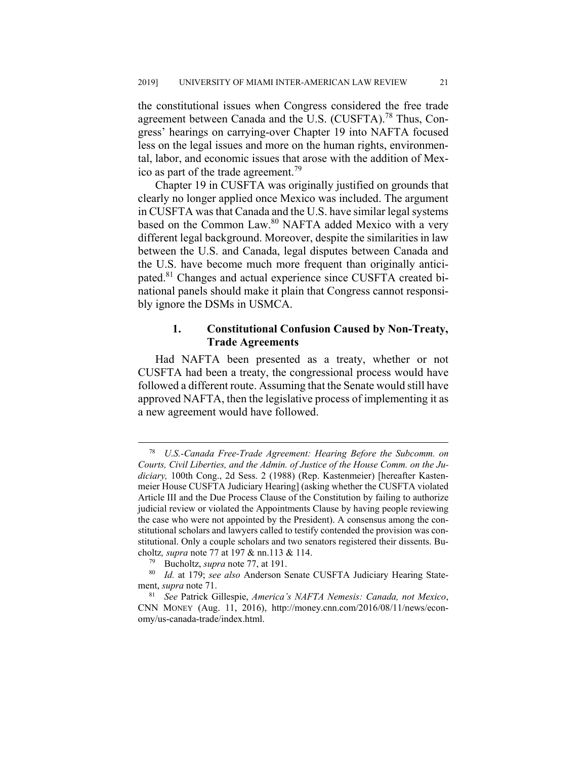the constitutional issues when Congress considered the free trade agreement between Canada and the U.S. (CUSFTA).<sup>78</sup> Thus, Congress' hearings on carrying-over Chapter 19 into NAFTA focused less on the legal issues and more on the human rights, environmental, labor, and economic issues that arose with the addition of Mexico as part of the trade agreement.<sup>79</sup>

Chapter 19 in CUSFTA was originally justified on grounds that clearly no longer applied once Mexico was included. The argument in CUSFTA was that Canada and the U.S. have similar legal systems based on the Common Law.<sup>80</sup> NAFTA added Mexico with a very different legal background. Moreover, despite the similarities in law between the U.S. and Canada, legal disputes between Canada and the U.S. have become much more frequent than originally anticipated.<sup>81</sup> Changes and actual experience since CUSFTA created binational panels should make it plain that Congress cannot responsibly ignore the DSMs in USMCA.

# **1. Constitutional Confusion Caused by Non-Treaty, Trade Agreements**

Had NAFTA been presented as a treaty, whether or not CUSFTA had been a treaty, the congressional process would have followed a different route. Assuming that the Senate would still have approved NAFTA, then the legislative process of implementing it as a new agreement would have followed.

 <sup>78</sup> *U.S.-Canada Free-Trade Agreement: Hearing Before the Subcomm. on Courts, Civil Liberties, and the Admin. of Justice of the House Comm. on the Judiciary,* 100th Cong., 2d Sess. 2 (1988) (Rep. Kastenmeier) [hereafter Kastenmeier House CUSFTA Judiciary Hearing] (asking whether the CUSFTA violated Article III and the Due Process Clause of the Constitution by failing to authorize judicial review or violated the Appointments Clause by having people reviewing the case who were not appointed by the President). A consensus among the constitutional scholars and lawyers called to testify contended the provision was constitutional. Only a couple scholars and two senators registered their dissents. Bucholtz*, supra* note 77 at 197 & nn.113 & 114.

Bucholtz, *supra* note 77, at 191.

<sup>80</sup> *Id.* at 179; *see also* Anderson Senate CUSFTA Judiciary Hearing Statement, *supra* note 71.

<sup>81</sup> *See* Patrick Gillespie, *America's NAFTA Nemesis: Canada, not Mexico*, CNN MONEY (Aug. 11, 2016), http://money.cnn.com/2016/08/11/news/economy/us-canada-trade/index.html.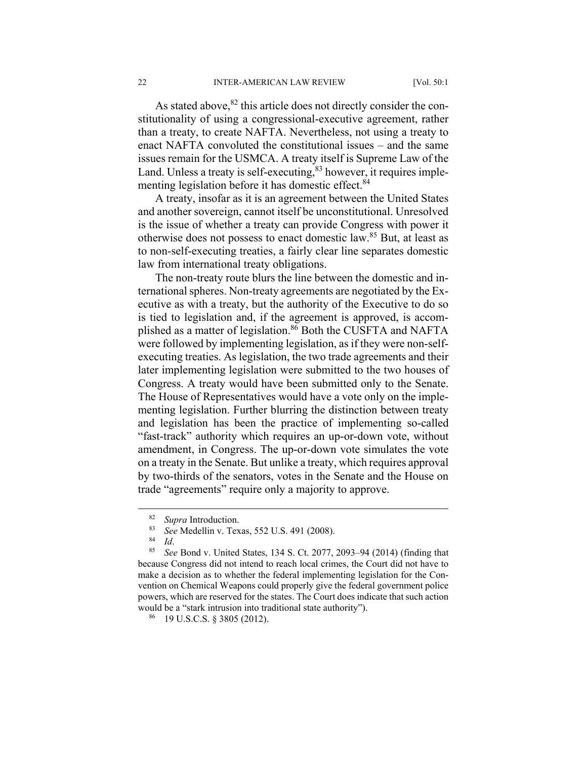As stated above,  $82$  this article does not directly consider the constitutionality of using a congressional-executive agreement, rather than a treaty, to create NAFTA. Nevertheless, not using a treaty to enact NAFTA convoluted the constitutional issues – and the same issues remain for the USMCA. A treaty itself is Supreme Law of the Land. Unless a treaty is self-executing,<sup>83</sup> however, it requires implementing legislation before it has domestic effect.<sup>84</sup>

A treaty, insofar as it is an agreement between the United States and another sovereign, cannot itself be unconstitutional. Unresolved is the issue of whether a treaty can provide Congress with power it otherwise does not possess to enact domestic law.85 But, at least as to non-self-executing treaties, a fairly clear line separates domestic law from international treaty obligations.

The non-treaty route blurs the line between the domestic and international spheres. Non-treaty agreements are negotiated by the Executive as with a treaty, but the authority of the Executive to do so is tied to legislation and, if the agreement is approved, is accomplished as a matter of legislation.<sup>86</sup> Both the CUSFTA and NAFTA were followed by implementing legislation, as if they were non-selfexecuting treaties. As legislation, the two trade agreements and their later implementing legislation were submitted to the two houses of Congress. A treaty would have been submitted only to the Senate. The House of Representatives would have a vote only on the implementing legislation. Further blurring the distinction between treaty and legislation has been the practice of implementing so-called "fast-track" authority which requires an up-or-down vote, without amendment, in Congress. The up-or-down vote simulates the vote on a treaty in the Senate. But unlike a treaty, which requires approval by two-thirds of the senators, votes in the Senate and the House on trade "agreements" require only a majority to approve.

 <sup>82</sup> *Supra* Introduction.

<sup>&</sup>lt;sup>83</sup> See Medellin v. Texas, 552 U.S. 491 (2008).

<sup>84</sup> *Id*. 85 *See* Bond v. United States, 134 S. Ct. 2077, 2093–94 (2014) (finding that because Congress did not intend to reach local crimes, the Court did not have to make a decision as to whether the federal implementing legislation for the Convention on Chemical Weapons could properly give the federal government police powers, which are reserved for the states. The Court does indicate that such action would be a "stark intrusion into traditional state authority").

<sup>86</sup> 19 U.S.C.S. § 3805 (2012).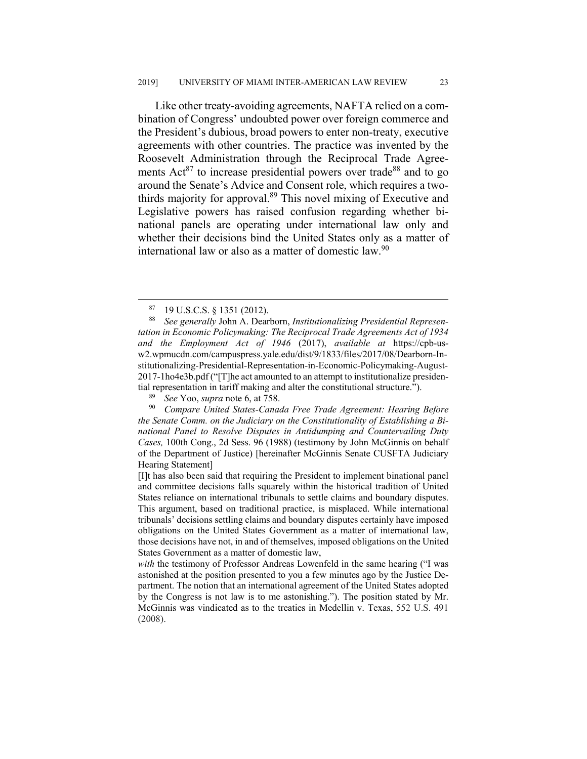Like other treaty-avoiding agreements, NAFTA relied on a combination of Congress' undoubted power over foreign commerce and the President's dubious, broad powers to enter non-treaty, executive agreements with other countries. The practice was invented by the Roosevelt Administration through the Reciprocal Trade Agreements  $Act^{87}$  to increase presidential powers over trade<sup>88</sup> and to go around the Senate's Advice and Consent role, which requires a twothirds majority for approval.<sup>89</sup> This novel mixing of Executive and Legislative powers has raised confusion regarding whether binational panels are operating under international law only and whether their decisions bind the United States only as a matter of international law or also as a matter of domestic law.<sup>90</sup>

<sup>90</sup> *Compare United States-Canada Free Trade Agreement: Hearing Before the Senate Comm. on the Judiciary on the Constitutionality of Establishing a Binational Panel to Resolve Disputes in Antidumping and Countervailing Duty Cases,* 100th Cong., 2d Sess. 96 (1988) (testimony by John McGinnis on behalf of the Department of Justice) [hereinafter McGinnis Senate CUSFTA Judiciary Hearing Statement]

[I]t has also been said that requiring the President to implement binational panel and committee decisions falls squarely within the historical tradition of United States reliance on international tribunals to settle claims and boundary disputes. This argument, based on traditional practice, is misplaced. While international tribunals' decisions settling claims and boundary disputes certainly have imposed obligations on the United States Government as a matter of international law, those decisions have not, in and of themselves, imposed obligations on the United States Government as a matter of domestic law,

*with* the testimony of Professor Andreas Lowenfeld in the same hearing ("I was astonished at the position presented to you a few minutes ago by the Justice Department. The notion that an international agreement of the United States adopted by the Congress is not law is to me astonishing."). The position stated by Mr. McGinnis was vindicated as to the treaties in Medellin v. Texas, 552 U.S. 491 (2008).

 <sup>87 19</sup> U.S.C.S. § 1351 (2012).

<sup>88</sup> *See generally* John A. Dearborn, *Institutionalizing Presidential Representation in Economic Policymaking: The Reciprocal Trade Agreements Act of 1934 and the Employment Act of 1946* (2017), *available at* https://cpb-usw2.wpmucdn.com/campuspress.yale.edu/dist/9/1833/files/2017/08/Dearborn-Institutionalizing-Presidential-Representation-in-Economic-Policymaking-August-2017-1ho4e3b.pdf ("[T]he act amounted to an attempt to institutionalize presidential representation in tariff making and alter the constitutional structure.").

<sup>89</sup> *See* Yoo, *supra* note 6, at 758.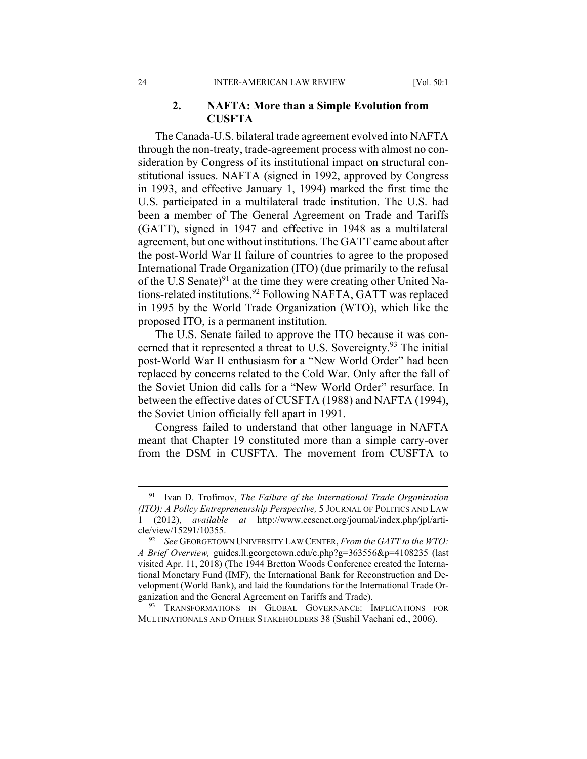# **2. NAFTA: More than a Simple Evolution from CUSFTA**

The Canada-U.S. bilateral trade agreement evolved into NAFTA through the non-treaty, trade-agreement process with almost no consideration by Congress of its institutional impact on structural constitutional issues. NAFTA (signed in 1992, approved by Congress in 1993, and effective January 1, 1994) marked the first time the U.S. participated in a multilateral trade institution. The U.S. had been a member of The General Agreement on Trade and Tariffs (GATT), signed in 1947 and effective in 1948 as a multilateral agreement, but one without institutions. The GATT came about after the post-World War II failure of countries to agree to the proposed International Trade Organization (ITO) (due primarily to the refusal of the U.S Senate) $91$  at the time they were creating other United Nations-related institutions.92 Following NAFTA, GATT was replaced in 1995 by the World Trade Organization (WTO), which like the proposed ITO, is a permanent institution.

The U.S. Senate failed to approve the ITO because it was concerned that it represented a threat to U.S. Sovereignty.<sup>93</sup> The initial post-World War II enthusiasm for a "New World Order" had been replaced by concerns related to the Cold War. Only after the fall of the Soviet Union did calls for a "New World Order" resurface. In between the effective dates of CUSFTA (1988) and NAFTA (1994), the Soviet Union officially fell apart in 1991.

Congress failed to understand that other language in NAFTA meant that Chapter 19 constituted more than a simple carry-over from the DSM in CUSFTA. The movement from CUSFTA to

93 TRANSFORMATIONS IN GLOBAL GOVERNANCE: IMPLICATIONS FOR MULTINATIONALS AND OTHER STAKEHOLDERS 38 (Sushil Vachani ed., 2006).

 <sup>91</sup> Ivan D. Trofimov, *The Failure of the International Trade Organization (ITO): A Policy Entrepreneurship Perspective,* 5 JOURNAL OF POLITICS AND LAW 1 (2012), *available at* http://www.ccsenet.org/journal/index.php/jpl/article/view/15291/10355.

<sup>92</sup> *See* GEORGETOWN UNIVERSITY LAW CENTER, *From the GATT to the WTO: A Brief Overview,* guides.ll.georgetown.edu/c.php?g=363556&p=4108235 (last visited Apr. 11, 2018) (The 1944 Bretton Woods Conference created the International Monetary Fund (IMF), the International Bank for Reconstruction and Development (World Bank), and laid the foundations for the International Trade Organization and the General Agreement on Tariffs and Trade).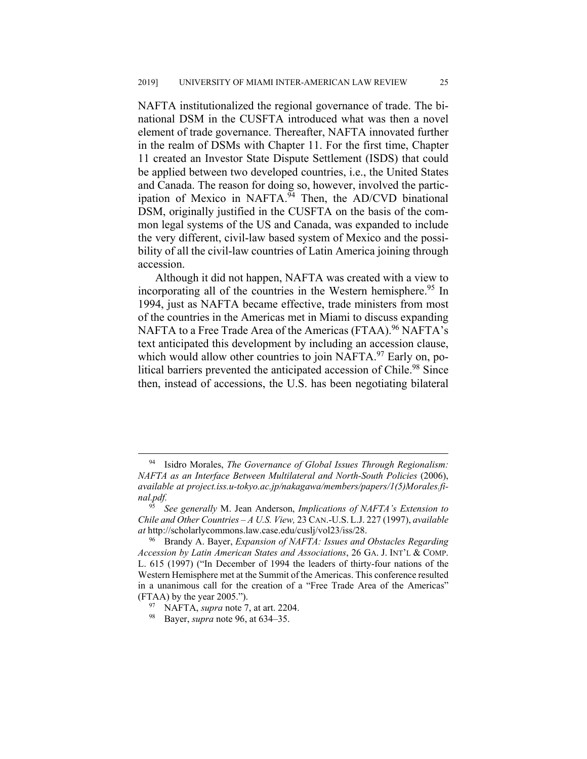NAFTA institutionalized the regional governance of trade. The binational DSM in the CUSFTA introduced what was then a novel element of trade governance. Thereafter, NAFTA innovated further in the realm of DSMs with Chapter 11. For the first time, Chapter 11 created an Investor State Dispute Settlement (ISDS) that could be applied between two developed countries, i.e., the United States and Canada. The reason for doing so, however, involved the participation of Mexico in NAFTA.<sup>94</sup> Then, the AD/CVD binational DSM, originally justified in the CUSFTA on the basis of the common legal systems of the US and Canada, was expanded to include the very different, civil-law based system of Mexico and the possibility of all the civil-law countries of Latin America joining through accession.

Although it did not happen, NAFTA was created with a view to incorporating all of the countries in the Western hemisphere.<sup>95</sup> In 1994, just as NAFTA became effective, trade ministers from most of the countries in the Americas met in Miami to discuss expanding NAFTA to a Free Trade Area of the Americas (FTAA).<sup>96</sup> NAFTA's text anticipated this development by including an accession clause, which would allow other countries to join NAFTA. $97$  Early on, political barriers prevented the anticipated accession of Chile.<sup>98</sup> Since then, instead of accessions, the U.S. has been negotiating bilateral

 <sup>94</sup> Isidro Morales, *The Governance of Global Issues Through Regionalism: NAFTA as an Interface Between Multilateral and North-South Policies* (2006), *available at project.iss.u-tokyo.ac.jp/nakagawa/members/papers/1(5)Morales.final.pdf.*

<sup>95</sup> *See generally* M. Jean Anderson, *Implications of NAFTA's Extension to Chile and Other Countries – A U.S. View,* 23 CAN.-U.S. L.J. 227 (1997), *available at* http://scholarlycommons.law.case.edu/cuslj/vol23/iss/28.

<sup>96</sup> Brandy A. Bayer, *Expansion of NAFTA: Issues and Obstacles Regarding Accession by Latin American States and Associations*, 26 GA. J. INT'L & COMP. L. 615 (1997) ("In December of 1994 the leaders of thirty-four nations of the Western Hemisphere met at the Summit of the Americas. This conference resulted in a unanimous call for the creation of a "Free Trade Area of the Americas" (FTAA) by the year 2005.").

<sup>97</sup> NAFTA, *supra* note 7, at art. 2204.

<sup>98</sup> Bayer, *supra* note 96, at 634–35.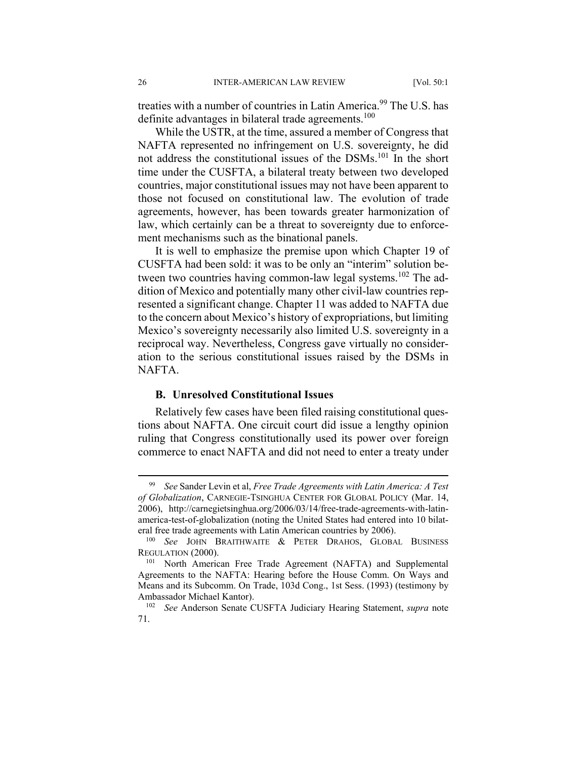treaties with a number of countries in Latin America.<sup>99</sup> The U.S. has definite advantages in bilateral trade agreements.<sup>100</sup>

While the USTR, at the time, assured a member of Congress that NAFTA represented no infringement on U.S. sovereignty, he did not address the constitutional issues of the DSMs.101 In the short time under the CUSFTA, a bilateral treaty between two developed countries, major constitutional issues may not have been apparent to those not focused on constitutional law. The evolution of trade agreements, however, has been towards greater harmonization of law, which certainly can be a threat to sovereignty due to enforcement mechanisms such as the binational panels.

It is well to emphasize the premise upon which Chapter 19 of CUSFTA had been sold: it was to be only an "interim" solution between two countries having common-law legal systems.<sup>102</sup> The addition of Mexico and potentially many other civil-law countries represented a significant change. Chapter 11 was added to NAFTA due to the concern about Mexico's history of expropriations, but limiting Mexico's sovereignty necessarily also limited U.S. sovereignty in a reciprocal way. Nevertheless, Congress gave virtually no consideration to the serious constitutional issues raised by the DSMs in NAFTA.

# **B. Unresolved Constitutional Issues**

Relatively few cases have been filed raising constitutional questions about NAFTA. One circuit court did issue a lengthy opinion ruling that Congress constitutionally used its power over foreign commerce to enact NAFTA and did not need to enter a treaty under

 <sup>99</sup> *See* Sander Levin et al, *Free Trade Agreements with Latin America: A Test of Globalization*, CARNEGIE-TSINGHUA CENTER FOR GLOBAL POLICY (Mar. 14, 2006), http://carnegietsinghua.org/2006/03/14/free-trade-agreements-with-latinamerica-test-of-globalization (noting the United States had entered into 10 bilateral free trade agreements with Latin American countries by 2006).

<sup>100</sup> *See* JOHN BRAITHWAITE & PETER DRAHOS, GLOBAL BUSINESS REGULATION (2000).

<sup>&</sup>lt;sup>101</sup> North American Free Trade Agreement (NAFTA) and Supplemental Agreements to the NAFTA: Hearing before the House Comm. On Ways and Means and its Subcomm. On Trade, 103d Cong., 1st Sess. (1993) (testimony by Ambassador Michael Kantor).

<sup>102</sup> *See* Anderson Senate CUSFTA Judiciary Hearing Statement, *supra* note 71.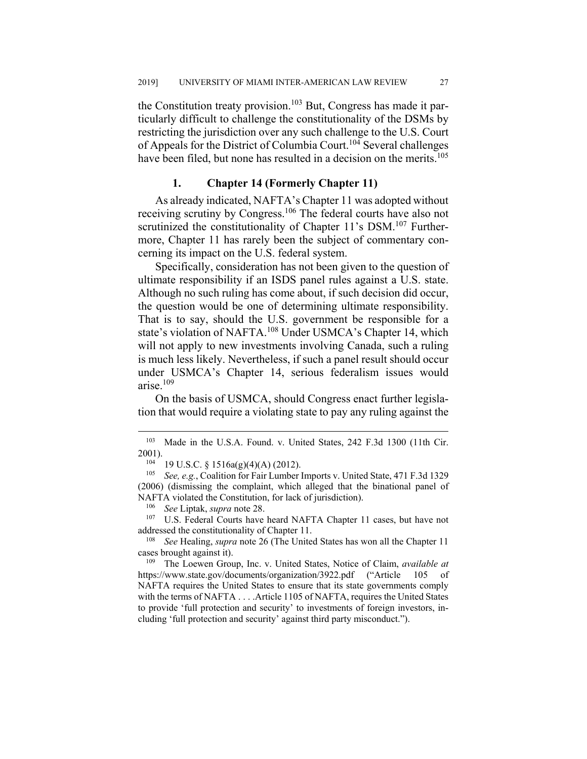the Constitution treaty provision.<sup>103</sup> But, Congress has made it particularly difficult to challenge the constitutionality of the DSMs by restricting the jurisdiction over any such challenge to the U.S. Court of Appeals for the District of Columbia Court.<sup>104</sup> Several challenges have been filed, but none has resulted in a decision on the merits.<sup>105</sup>

#### **1. Chapter 14 (Formerly Chapter 11)**

As already indicated, NAFTA's Chapter 11 was adopted without receiving scrutiny by Congress.106 The federal courts have also not scrutinized the constitutionality of Chapter 11's DSM.<sup>107</sup> Furthermore, Chapter 11 has rarely been the subject of commentary concerning its impact on the U.S. federal system.

Specifically, consideration has not been given to the question of ultimate responsibility if an ISDS panel rules against a U.S. state. Although no such ruling has come about, if such decision did occur, the question would be one of determining ultimate responsibility. That is to say, should the U.S. government be responsible for a state's violation of NAFTA.<sup>108</sup> Under USMCA's Chapter 14, which will not apply to new investments involving Canada, such a ruling is much less likely. Nevertheless, if such a panel result should occur under USMCA's Chapter 14, serious federalism issues would arise.109

On the basis of USMCA, should Congress enact further legislation that would require a violating state to pay any ruling against the

<sup>107</sup> U.S. Federal Courts have heard NAFTA Chapter 11 cases, but have not addressed the constitutionality of Chapter 11.

 <sup>103</sup> Made in the U.S.A. Found. v. United States, 242 F.3d 1300 (11th Cir.  $2001$ ).

<sup>&</sup>lt;sup>104</sup> 19 U.S.C. § 1516a(g)(4)(A) (2012).

<sup>105</sup> *See, e.g.*, Coalition for Fair Lumber Imports v. United State, 471 F.3d 1329 (2006) (dismissing the complaint, which alleged that the binational panel of NAFTA violated the Constitution, for lack of jurisdiction).

<sup>106</sup> *See* Liptak, *supra* note 28.

<sup>108</sup> *See* Healing, *supra* note 26 (The United States has won all the Chapter 11 cases brought against it).

<sup>109</sup> The Loewen Group, Inc. v. United States, Notice of Claim, *available at* https://www.state.gov/documents/organization/3922.pdf ("Article 105 of NAFTA requires the United States to ensure that its state governments comply with the terms of NAFTA . . . . Article 1105 of NAFTA, requires the United States to provide 'full protection and security' to investments of foreign investors, including 'full protection and security' against third party misconduct.").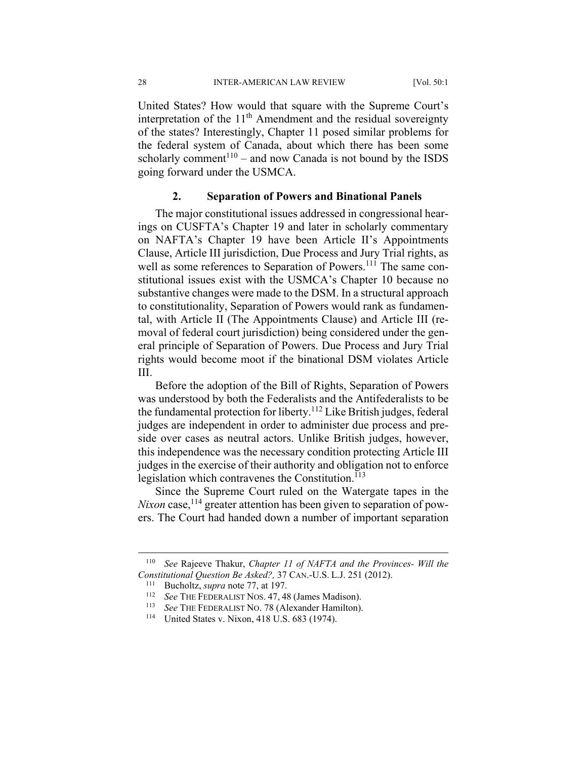28 INTER-AMERICAN LAW REVIEW [Vol. 50:1

United States? How would that square with the Supreme Court's interpretation of the  $11<sup>th</sup>$  Amendment and the residual sovereignty of the states? Interestingly, Chapter 11 posed similar problems for the federal system of Canada, about which there has been some scholarly comment<sup>110</sup> – and now Canada is not bound by the ISDS going forward under the USMCA.

#### **2. Separation of Powers and Binational Panels**

The major constitutional issues addressed in congressional hearings on CUSFTA's Chapter 19 and later in scholarly commentary on NAFTA's Chapter 19 have been Article II's Appointments Clause, Article III jurisdiction, Due Process and Jury Trial rights, as well as some references to Separation of Powers.<sup>111</sup> The same constitutional issues exist with the USMCA's Chapter 10 because no substantive changes were made to the DSM. In a structural approach to constitutionality, Separation of Powers would rank as fundamental, with Article II (The Appointments Clause) and Article III (removal of federal court jurisdiction) being considered under the general principle of Separation of Powers. Due Process and Jury Trial rights would become moot if the binational DSM violates Article III.

Before the adoption of the Bill of Rights, Separation of Powers was understood by both the Federalists and the Antifederalists to be the fundamental protection for liberty.<sup>112</sup> Like British judges, federal judges are independent in order to administer due process and preside over cases as neutral actors. Unlike British judges, however, this independence was the necessary condition protecting Article III judges in the exercise of their authority and obligation not to enforce legislation which contravenes the Constitution. $^{113}$ 

Since the Supreme Court ruled on the Watergate tapes in the *Nixon* case,<sup>114</sup> greater attention has been given to separation of powers. The Court had handed down a number of important separation

 <sup>110</sup> *See* Rajeeve Thakur, *Chapter 11 of NAFTA and the Provinces- Will the Constitutional Question Be Asked?,* 37 CAN.-U.S. L.J. 251 (2012).<br><sup>111</sup> Bucholtz, *supra* note 77, at 197.<br><sup>112</sup> See THE FEDERALIST NOS. 47, 48 (James Madison).<br><sup>113</sup> See TUE FEDERALIST NO. 78 (Alexander Hamilton).

<sup>113</sup> *See* THE FEDERALIST NO. 78 (Alexander Hamilton). 114 United States v. Nixon, 418 U.S. 683 (1974).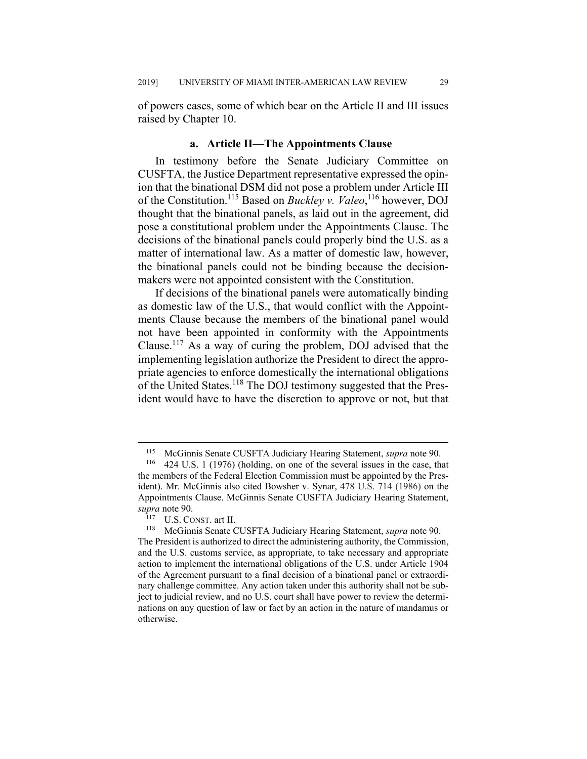of powers cases, some of which bear on the Article II and III issues raised by Chapter 10.

#### **a. Article II—The Appointments Clause**

In testimony before the Senate Judiciary Committee on CUSFTA, the Justice Department representative expressed the opinion that the binational DSM did not pose a problem under Article III of the Constitution.115 Based on *Buckley v. Valeo*, 116 however, DOJ thought that the binational panels, as laid out in the agreement, did pose a constitutional problem under the Appointments Clause. The decisions of the binational panels could properly bind the U.S. as a matter of international law. As a matter of domestic law, however, the binational panels could not be binding because the decisionmakers were not appointed consistent with the Constitution.

If decisions of the binational panels were automatically binding as domestic law of the U.S., that would conflict with the Appointments Clause because the members of the binational panel would not have been appointed in conformity with the Appointments Clause.117 As a way of curing the problem, DOJ advised that the implementing legislation authorize the President to direct the appropriate agencies to enforce domestically the international obligations of the United States.118 The DOJ testimony suggested that the President would have to have the discretion to approve or not, but that

 <sup>115</sup> McGinnis Senate CUSFTA Judiciary Hearing Statement, *supra* note 90.

<sup>424</sup> U.S. 1 (1976) (holding, on one of the several issues in the case, that the members of the Federal Election Commission must be appointed by the President). Mr. McGinnis also cited Bowsher v. Synar, 478 U.S. 714 (1986) on the Appointments Clause. McGinnis Senate CUSFTA Judiciary Hearing Statement, *supra* note 90.

<sup>117</sup> U.S. CONST. art II.

<sup>118</sup> McGinnis Senate CUSFTA Judiciary Hearing Statement, *supra* note 90. The President is authorized to direct the administering authority, the Commission, and the U.S. customs service, as appropriate, to take necessary and appropriate action to implement the international obligations of the U.S. under Article 1904 of the Agreement pursuant to a final decision of a binational panel or extraordinary challenge committee. Any action taken under this authority shall not be subject to judicial review, and no U.S. court shall have power to review the determinations on any question of law or fact by an action in the nature of mandamus or otherwise.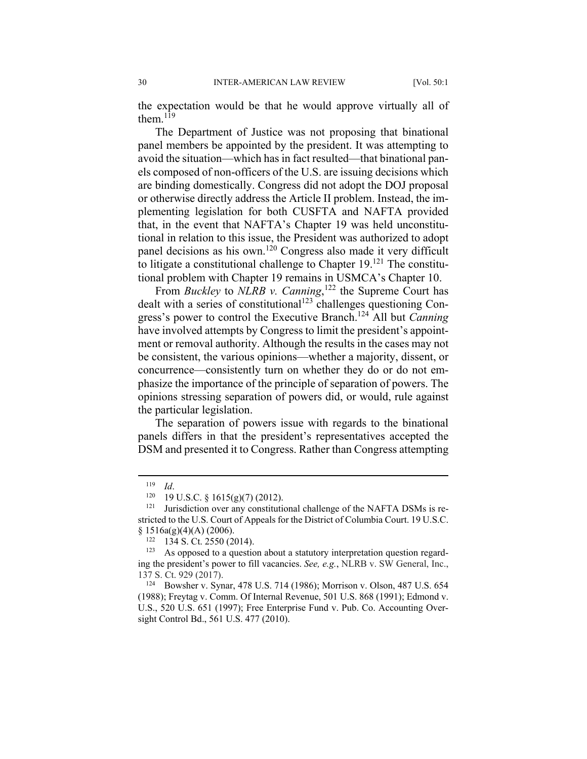the expectation would be that he would approve virtually all of them. $^{119}$ 

The Department of Justice was not proposing that binational panel members be appointed by the president. It was attempting to avoid the situation—which has in fact resulted—that binational panels composed of non-officers of the U.S. are issuing decisions which are binding domestically. Congress did not adopt the DOJ proposal or otherwise directly address the Article II problem. Instead, the implementing legislation for both CUSFTA and NAFTA provided that, in the event that NAFTA's Chapter 19 was held unconstitutional in relation to this issue, the President was authorized to adopt panel decisions as his own.<sup>120</sup> Congress also made it very difficult to litigate a constitutional challenge to Chapter  $19$ .<sup>121</sup> The constitutional problem with Chapter 19 remains in USMCA's Chapter 10.

From *Buckley* to *NLRB v. Canning*, 122 the Supreme Court has dealt with a series of constitutional<sup>123</sup> challenges questioning Congress's power to control the Executive Branch.124 All but *Canning*  have involved attempts by Congress to limit the president's appointment or removal authority. Although the results in the cases may not be consistent, the various opinions—whether a majority, dissent, or concurrence—consistently turn on whether they do or do not emphasize the importance of the principle of separation of powers. The opinions stressing separation of powers did, or would, rule against the particular legislation.

The separation of powers issue with regards to the binational panels differs in that the president's representatives accepted the DSM and presented it to Congress. Rather than Congress attempting

<sup>119</sup> *Id.*<br><sup>120</sup> 19 U.S.C. § 1615(g)(7) (2012).<br><sup>121</sup> Jurisdiction over any constitutional challenge of the NAFTA DSMs is restricted to the U.S. Court of Appeals for the District of Columbia Court. 19 U.S.C.  $\S$  1516a(g)(4)(A) (2006).<br><sup>122</sup> 134 S. Ct. 2550 (2014).

 $123$  As opposed to a question about a statutory interpretation question regarding the president's power to fill vacancies. *See, e.g.*, NLRB v. SW General, Inc., 137 S. Ct. 929 (2017).

<sup>124</sup> Bowsher v. Synar, 478 U.S. 714 (1986); Morrison v. Olson, 487 U.S. 654 (1988); Freytag v. Comm. Of Internal Revenue, 501 U.S. 868 (1991); Edmond v. U.S., 520 U.S. 651 (1997); Free Enterprise Fund v. Pub. Co. Accounting Oversight Control Bd., 561 U.S. 477 (2010).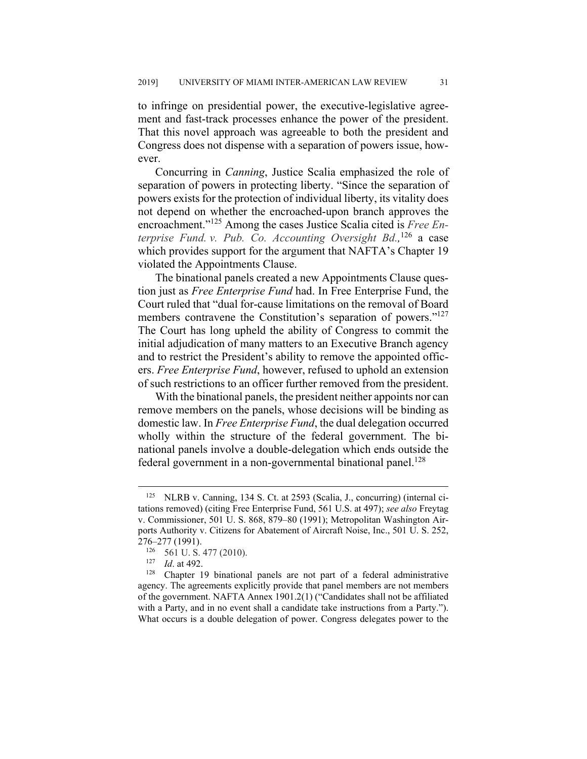to infringe on presidential power, the executive-legislative agreement and fast-track processes enhance the power of the president. That this novel approach was agreeable to both the president and Congress does not dispense with a separation of powers issue, however.

Concurring in *Canning*, Justice Scalia emphasized the role of separation of powers in protecting liberty. "Since the separation of powers exists for the protection of individual liberty, its vitality does not depend on whether the encroached-upon branch approves the encroachment."125 Among the cases Justice Scalia cited is *Free Enterprise Fund. v. Pub. Co. Accounting Oversight Bd.,* <sup>126</sup> a case which provides support for the argument that NAFTA's Chapter 19 violated the Appointments Clause.

The binational panels created a new Appointments Clause question just as *Free Enterprise Fund* had. In Free Enterprise Fund, the Court ruled that "dual for-cause limitations on the removal of Board members contravene the Constitution's separation of powers."<sup>127</sup> The Court has long upheld the ability of Congress to commit the initial adjudication of many matters to an Executive Branch agency and to restrict the President's ability to remove the appointed officers. *Free Enterprise Fund*, however, refused to uphold an extension of such restrictions to an officer further removed from the president.

With the binational panels, the president neither appoints nor can remove members on the panels, whose decisions will be binding as domestic law. In *Free Enterprise Fund*, the dual delegation occurred wholly within the structure of the federal government. The binational panels involve a double-delegation which ends outside the federal government in a non-governmental binational panel.<sup>128</sup>

 <sup>125</sup> NLRB v. Canning, 134 S. Ct. at 2593 (Scalia, J., concurring) (internal citations removed) (citing Free Enterprise Fund, 561 U.S. at 497); *see also* Freytag v. Commissioner, 501 U. S. 868, 879–80 (1991); Metropolitan Washington Airports Authority v. Citizens for Abatement of Aircraft Noise, Inc., 501 U. S. 252, 276–277 (1991).

<sup>126 561</sup> U. S. 477 (2010).

<sup>127</sup> *Id.* at 492.

Chapter 19 binational panels are not part of a federal administrative agency. The agreements explicitly provide that panel members are not members of the government. NAFTA Annex 1901.2(1) ("Candidates shall not be affiliated with a Party, and in no event shall a candidate take instructions from a Party."). What occurs is a double delegation of power. Congress delegates power to the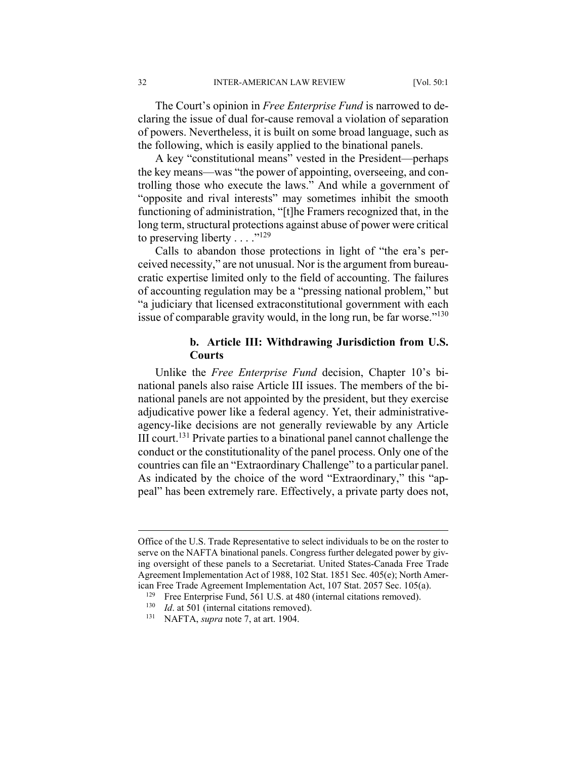The Court's opinion in *Free Enterprise Fund* is narrowed to declaring the issue of dual for-cause removal a violation of separation of powers. Nevertheless, it is built on some broad language, such as the following, which is easily applied to the binational panels.

A key "constitutional means" vested in the President—perhaps the key means—was "the power of appointing, overseeing, and controlling those who execute the laws." And while a government of "opposite and rival interests" may sometimes inhibit the smooth functioning of administration, "[t]he Framers recognized that, in the long term, structural protections against abuse of power were critical to preserving liberty . . . ."<sup>129</sup>

Calls to abandon those protections in light of "the era's perceived necessity," are not unusual. Nor is the argument from bureaucratic expertise limited only to the field of accounting. The failures of accounting regulation may be a "pressing national problem," but "a judiciary that licensed extraconstitutional government with each issue of comparable gravity would, in the long run, be far worse." $130$ 

# **b. Article III: Withdrawing Jurisdiction from U.S. Courts**

Unlike the *Free Enterprise Fund* decision, Chapter 10's binational panels also raise Article III issues. The members of the binational panels are not appointed by the president, but they exercise adjudicative power like a federal agency. Yet, their administrativeagency-like decisions are not generally reviewable by any Article III court.131 Private parties to a binational panel cannot challenge the conduct or the constitutionality of the panel process. Only one of the countries can file an "Extraordinary Challenge" to a particular panel. As indicated by the choice of the word "Extraordinary," this "appeal" has been extremely rare. Effectively, a private party does not,

Office of the U.S. Trade Representative to select individuals to be on the roster to serve on the NAFTA binational panels. Congress further delegated power by giving oversight of these panels to a Secretariat. United States-Canada Free Trade Agreement Implementation Act of 1988, 102 Stat. 1851 Sec. 405(e); North American Free Trade Agreement Implementation Act, 107 Stat. 2057 Sec. 105(a).

<sup>&</sup>lt;sup>129</sup> Free Enterprise Fund, 561 U.S. at 480 (internal citations removed).<br><sup>130</sup> *Id* at 501 (internal citations removed)

*Id.* at 501 (internal citations removed).

<sup>131</sup> NAFTA, *supra* note 7, at art. 1904.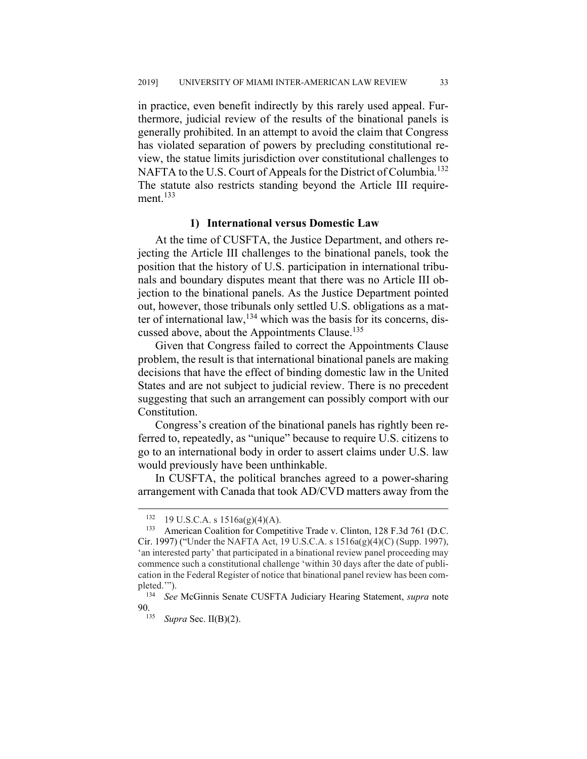in practice, even benefit indirectly by this rarely used appeal. Furthermore, judicial review of the results of the binational panels is generally prohibited. In an attempt to avoid the claim that Congress has violated separation of powers by precluding constitutional review, the statue limits jurisdiction over constitutional challenges to NAFTA to the U.S. Court of Appeals for the District of Columbia.<sup>132</sup> The statute also restricts standing beyond the Article III requirement. $133$ 

#### **1) International versus Domestic Law**

At the time of CUSFTA, the Justice Department, and others rejecting the Article III challenges to the binational panels, took the position that the history of U.S. participation in international tribunals and boundary disputes meant that there was no Article III objection to the binational panels. As the Justice Department pointed out, however, those tribunals only settled U.S. obligations as a matter of international law,  $134$  which was the basis for its concerns, discussed above, about the Appointments Clause.<sup>135</sup>

Given that Congress failed to correct the Appointments Clause problem, the result is that international binational panels are making decisions that have the effect of binding domestic law in the United States and are not subject to judicial review. There is no precedent suggesting that such an arrangement can possibly comport with our Constitution.

Congress's creation of the binational panels has rightly been referred to, repeatedly, as "unique" because to require U.S. citizens to go to an international body in order to assert claims under U.S. law would previously have been unthinkable.

In CUSFTA, the political branches agreed to a power-sharing arrangement with Canada that took AD/CVD matters away from the

 $132$  19 U.S.C.A. s  $1516a(g)(4)(A)$ .

<sup>133</sup> American Coalition for Competitive Trade v. Clinton, 128 F.3d 761 (D.C. Cir. 1997) ("Under the NAFTA Act, 19 U.S.C.A. s 1516a(g)(4)(C) (Supp. 1997), 'an interested party' that participated in a binational review panel proceeding may commence such a constitutional challenge 'within 30 days after the date of publication in the Federal Register of notice that binational panel review has been completed."").<br> $\frac{134}{\pi} \frac{S_{\rho c}}{s}$ 

<sup>134</sup> *See* McGinnis Senate CUSFTA Judiciary Hearing Statement, *supra* note 90.

<sup>135</sup> *Supra* Sec. II(B)(2).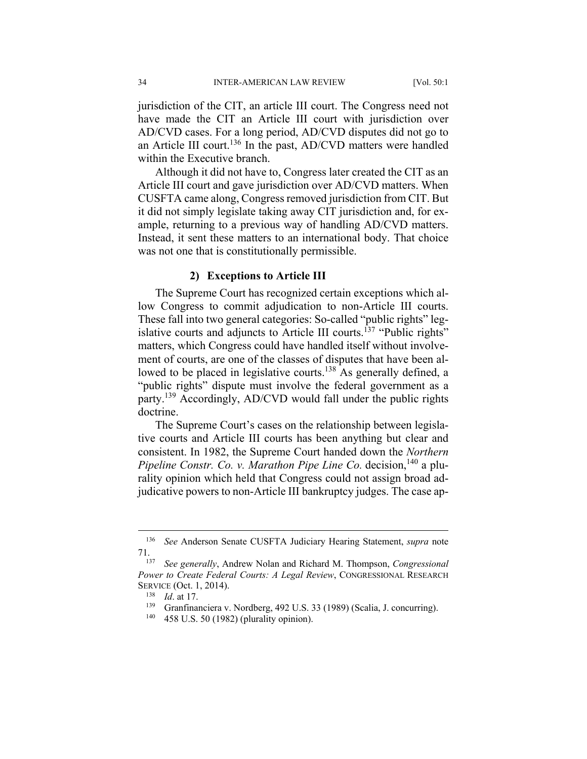jurisdiction of the CIT, an article III court. The Congress need not have made the CIT an Article III court with jurisdiction over AD/CVD cases. For a long period, AD/CVD disputes did not go to an Article III court.<sup>136</sup> In the past,  $AD/CVD$  matters were handled within the Executive branch.

Although it did not have to, Congress later created the CIT as an Article III court and gave jurisdiction over AD/CVD matters. When CUSFTA came along, Congress removed jurisdiction from CIT. But it did not simply legislate taking away CIT jurisdiction and, for example, returning to a previous way of handling AD/CVD matters. Instead, it sent these matters to an international body. That choice was not one that is constitutionally permissible.

#### **2) Exceptions to Article III**

The Supreme Court has recognized certain exceptions which allow Congress to commit adjudication to non-Article III courts. These fall into two general categories: So-called "public rights" legislative courts and adjuncts to Article III courts.<sup>137</sup> "Public rights" matters, which Congress could have handled itself without involvement of courts, are one of the classes of disputes that have been allowed to be placed in legislative courts.<sup>138</sup> As generally defined, a "public rights" dispute must involve the federal government as a party.<sup>139</sup> Accordingly, AD/CVD would fall under the public rights doctrine.

The Supreme Court's cases on the relationship between legislative courts and Article III courts has been anything but clear and consistent. In 1982, the Supreme Court handed down the *Northern Pipeline Constr. Co. v. Marathon Pipe Line Co.* decision,<sup>140</sup> a plurality opinion which held that Congress could not assign broad adjudicative powers to non-Article III bankruptcy judges. The case ap-

 <sup>136</sup> *See* Anderson Senate CUSFTA Judiciary Hearing Statement, *supra* note 71.

<sup>137</sup> *See generally*, Andrew Nolan and Richard M. Thompson, *Congressional Power to Create Federal Courts: A Legal Review*, CONGRESSIONAL RESEARCH SERVICE (Oct. 1, 2014).

<sup>&</sup>lt;sup>138</sup> *Id.* at 17.<br><sup>139</sup> Grapfina

Granfinanciera v. Nordberg, 492 U.S. 33 (1989) (Scalia, J. concurring).

<sup>458</sup> U.S. 50 (1982) (plurality opinion).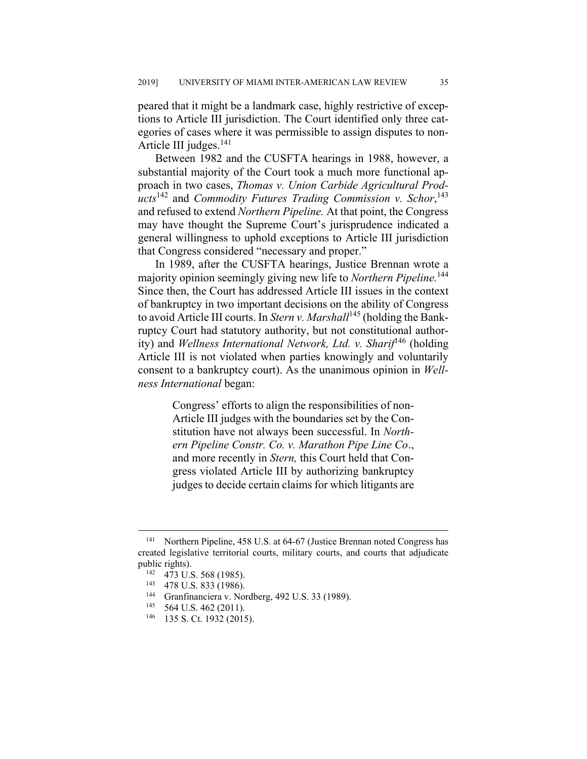peared that it might be a landmark case, highly restrictive of exceptions to Article III jurisdiction. The Court identified only three categories of cases where it was permissible to assign disputes to non-Article III judges. $^{141}$ 

Between 1982 and the CUSFTA hearings in 1988, however, a substantial majority of the Court took a much more functional approach in two cases, *Thomas v. Union Carbide Agricultural Products*142 and *Commodity Futures Trading Commission v. Schor*, 143 and refused to extend *Northern Pipeline.* At that point, the Congress may have thought the Supreme Court's jurisprudence indicated a general willingness to uphold exceptions to Article III jurisdiction that Congress considered "necessary and proper."

In 1989, after the CUSFTA hearings, Justice Brennan wrote a majority opinion seemingly giving new life to *Northern Pipeline.*<sup>144</sup> Since then, the Court has addressed Article III issues in the context of bankruptcy in two important decisions on the ability of Congress to avoid Article III courts. In *Stern v. Marshall*<sup>145</sup> (holding the Bankruptcy Court had statutory authority, but not constitutional authority) and *Wellness International Network, Ltd. v. Sharif*<sup>146</sup> (holding Article III is not violated when parties knowingly and voluntarily consent to a bankruptcy court). As the unanimous opinion in *Wellness International* began:

> Congress' efforts to align the responsibilities of non-Article III judges with the boundaries set by the Constitution have not always been successful. In *Northern Pipeline Constr. Co. v. Marathon Pipe Line Co*., and more recently in *Stern,* this Court held that Congress violated Article III by authorizing bankruptcy judges to decide certain claims for which litigants are

<sup>&</sup>lt;sup>141</sup> Northern Pipeline, 458 U.S. at 64-67 (Justice Brennan noted Congress has created legislative territorial courts, military courts, and courts that adjudicate public rights).<br><sup>142</sup> 473 U.S. 568 (1985).<br><sup>143</sup> 478 U.S. 833 (1986).

<sup>&</sup>lt;sup>144</sup> Granfinanciera v. Nordberg, 492 U.S. 33 (1989).<br><sup>145</sup> 564 U.S. 462 (2011).

<sup>564</sup> U.S. 462 (2011).

<sup>146 135</sup> S. Ct. 1932 (2015).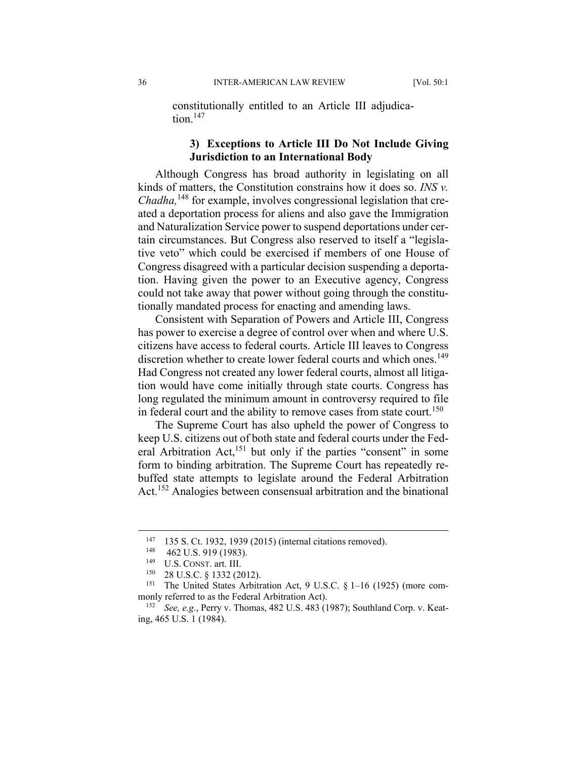constitutionally entitled to an Article III adjudication. $147$ 

# **3) Exceptions to Article III Do Not Include Giving Jurisdiction to an International Body**

Although Congress has broad authority in legislating on all kinds of matters, the Constitution constrains how it does so. *INS v. Chadha,*<sup>148</sup> for example, involves congressional legislation that created a deportation process for aliens and also gave the Immigration and Naturalization Service power to suspend deportations under certain circumstances. But Congress also reserved to itself a "legislative veto" which could be exercised if members of one House of Congress disagreed with a particular decision suspending a deportation. Having given the power to an Executive agency, Congress could not take away that power without going through the constitutionally mandated process for enacting and amending laws.

Consistent with Separation of Powers and Article III, Congress has power to exercise a degree of control over when and where U.S. citizens have access to federal courts. Article III leaves to Congress discretion whether to create lower federal courts and which ones.<sup>149</sup> Had Congress not created any lower federal courts, almost all litigation would have come initially through state courts. Congress has long regulated the minimum amount in controversy required to file in federal court and the ability to remove cases from state court.<sup>150</sup>

The Supreme Court has also upheld the power of Congress to keep U.S. citizens out of both state and federal courts under the Federal Arbitration Act,<sup>151</sup> but only if the parties "consent" in some form to binding arbitration. The Supreme Court has repeatedly rebuffed state attempts to legislate around the Federal Arbitration Act.152 Analogies between consensual arbitration and the binational

 <sup>147 135</sup> S. Ct. 1932, 1939 (2015) (internal citations removed).

<sup>&</sup>lt;sup>148</sup> 462 U.S. 919 (1983).

<sup>&</sup>lt;sup>149</sup> U.S. CONST. art. III.

<sup>28</sup> U.S.C. § 1332 (2012).

<sup>151</sup> The United States Arbitration Act, 9 U.S.C. § 1–16 (1925) (more commonly referred to as the Federal Arbitration Act).

See, e.g., Perry v. Thomas, 482 U.S. 483 (1987); Southland Corp. v. Keating, 465 U.S. 1 (1984).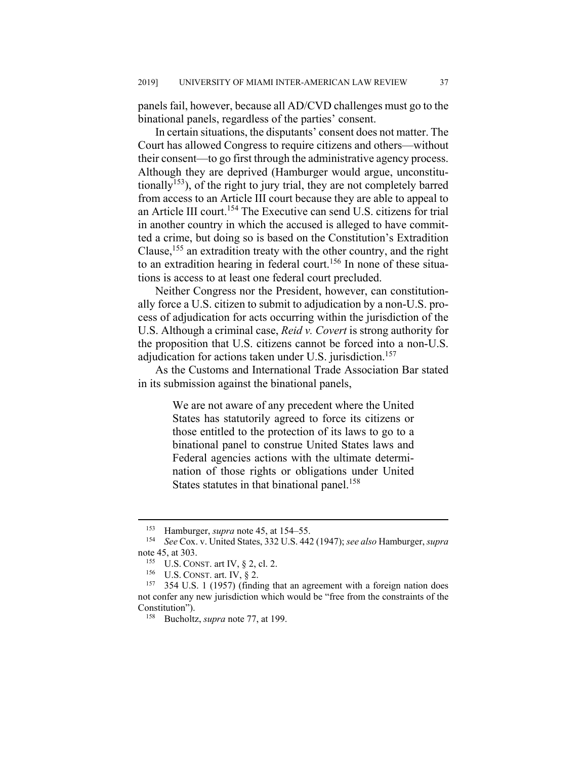panels fail, however, because all AD/CVD challenges must go to the binational panels, regardless of the parties' consent.

In certain situations, the disputants' consent does not matter. The Court has allowed Congress to require citizens and others—without their consent—to go first through the administrative agency process. Although they are deprived (Hamburger would argue, unconstitutionally<sup>153</sup>), of the right to jury trial, they are not completely barred from access to an Article III court because they are able to appeal to an Article III court.154 The Executive can send U.S. citizens for trial in another country in which the accused is alleged to have committed a crime, but doing so is based on the Constitution's Extradition Clause,155 an extradition treaty with the other country, and the right to an extradition hearing in federal court.<sup>156</sup> In none of these situations is access to at least one federal court precluded.

Neither Congress nor the President, however, can constitutionally force a U.S. citizen to submit to adjudication by a non-U.S. process of adjudication for acts occurring within the jurisdiction of the U.S. Although a criminal case, *Reid v. Covert* is strong authority for the proposition that U.S. citizens cannot be forced into a non-U.S. adjudication for actions taken under U.S. jurisdiction.<sup>157</sup>

As the Customs and International Trade Association Bar stated in its submission against the binational panels,

> We are not aware of any precedent where the United States has statutorily agreed to force its citizens or those entitled to the protection of its laws to go to a binational panel to construe United States laws and Federal agencies actions with the ultimate determination of those rights or obligations under United States statutes in that binational panel.<sup>158</sup>

<sup>&</sup>lt;sup>153</sup> Hamburger, *supra* note 45, at 154–55.<br><sup>154</sup> See Cox, y United States, 332 U.S. 44<sup>6</sup>

<sup>154</sup> *See* Cox. v. United States, 332 U.S. 442 (1947); *see also* Hamburger, *supra* note 45, at 303.

<sup>&</sup>lt;sup>155</sup> U.S. CONST. art IV,  $\S$  2, cl. 2.<br><sup>156</sup> II S. CONST. art IV,  $\S$  2.

U.S. CONST. art. IV,  $\S$  2.

<sup>&</sup>lt;sup>157</sup> 354 U.S. 1 (1957) (finding that an agreement with a foreign nation does not confer any new jurisdiction which would be "free from the constraints of the Constitution").

<sup>158</sup> Bucholtz, *supra* note 77, at 199.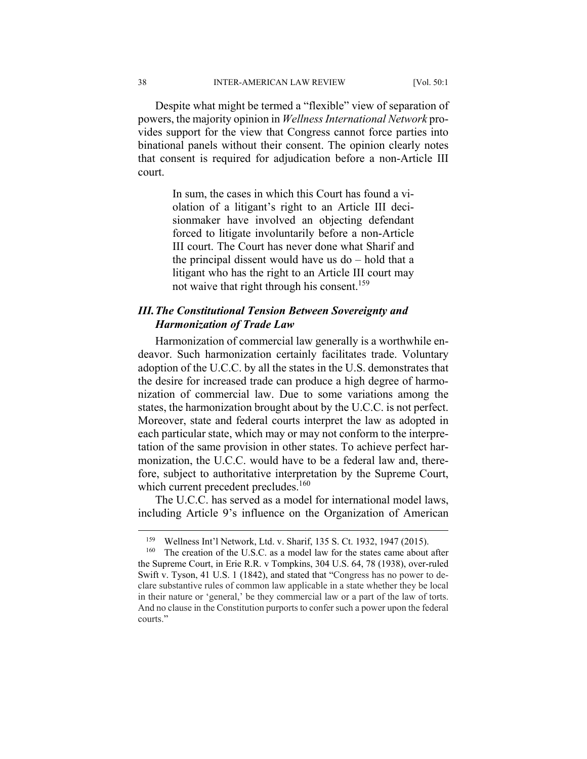Despite what might be termed a "flexible" view of separation of powers, the majority opinion in *Wellness International Network* provides support for the view that Congress cannot force parties into binational panels without their consent. The opinion clearly notes that consent is required for adjudication before a non-Article III court.

> In sum, the cases in which this Court has found a violation of a litigant's right to an Article III decisionmaker have involved an objecting defendant forced to litigate involuntarily before a non-Article III court. The Court has never done what Sharif and the principal dissent would have us do – hold that a litigant who has the right to an Article III court may not waive that right through his consent.<sup>159</sup>

# *III. The Constitutional Tension Between Sovereignty and Harmonization of Trade Law*

Harmonization of commercial law generally is a worthwhile endeavor. Such harmonization certainly facilitates trade. Voluntary adoption of the U.C.C. by all the states in the U.S. demonstrates that the desire for increased trade can produce a high degree of harmonization of commercial law. Due to some variations among the states, the harmonization brought about by the U.C.C. is not perfect. Moreover, state and federal courts interpret the law as adopted in each particular state, which may or may not conform to the interpretation of the same provision in other states. To achieve perfect harmonization, the U.C.C. would have to be a federal law and, therefore, subject to authoritative interpretation by the Supreme Court, which current precedent precludes.<sup>160</sup>

The U.C.C. has served as a model for international model laws, including Article 9's influence on the Organization of American

 <sup>159</sup> Wellness Int'l Network, Ltd. v. Sharif, 135 S. Ct. 1932, 1947 (2015).

<sup>&</sup>lt;sup>160</sup> The creation of the U.S.C. as a model law for the states came about after the Supreme Court, in Erie R.R. v Tompkins, 304 U.S. 64, 78 (1938), over-ruled Swift v. Tyson, 41 U.S. 1 (1842), and stated that "Congress has no power to declare substantive rules of common law applicable in a state whether they be local in their nature or 'general,' be they commercial law or a part of the law of torts. And no clause in the Constitution purports to confer such a power upon the federal courts."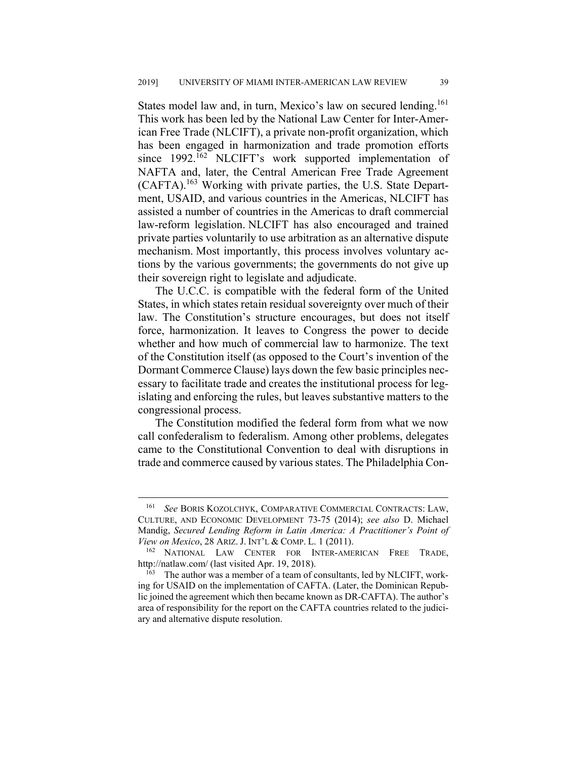States model law and, in turn, Mexico's law on secured lending.<sup>161</sup> This work has been led by the National Law Center for Inter-American Free Trade (NLCIFT), a private non-profit organization, which has been engaged in harmonization and trade promotion efforts since 1992.<sup>162</sup> NLCIFT's work supported implementation of NAFTA and, later, the Central American Free Trade Agreement (CAFTA).163 Working with private parties, the U.S. State Department, USAID, and various countries in the Americas, NLCIFT has assisted a number of countries in the Americas to draft commercial law-reform legislation. NLCIFT has also encouraged and trained private parties voluntarily to use arbitration as an alternative dispute mechanism. Most importantly, this process involves voluntary actions by the various governments; the governments do not give up their sovereign right to legislate and adjudicate.

The U.C.C. is compatible with the federal form of the United States, in which states retain residual sovereignty over much of their law. The Constitution's structure encourages, but does not itself force, harmonization. It leaves to Congress the power to decide whether and how much of commercial law to harmonize. The text of the Constitution itself (as opposed to the Court's invention of the Dormant Commerce Clause) lays down the few basic principles necessary to facilitate trade and creates the institutional process for legislating and enforcing the rules, but leaves substantive matters to the congressional process.

The Constitution modified the federal form from what we now call confederalism to federalism. Among other problems, delegates came to the Constitutional Convention to deal with disruptions in trade and commerce caused by various states. The Philadelphia Con-

 <sup>161</sup> *See* BORIS KOZOLCHYK, COMPARATIVE COMMERCIAL CONTRACTS: LAW, CULTURE, AND ECONOMIC DEVELOPMENT 73-75 (2014); *see also* D. Michael Mandig, *Secured Lending Reform in Latin America: A Practitioner's Point of View on Mexico*, 28 ARIZ. J. INT'L & COMP. L. 1 (2011).

<sup>162</sup> NATIONAL LAW CENTER FOR INTER-AMERICAN FREE TRADE, http://natlaw.com/ (last visited Apr. 19, 2018).

 $163$  The author was a member of a team of consultants, led by NLCIFT, working for USAID on the implementation of CAFTA. (Later, the Dominican Republic joined the agreement which then became known as DR-CAFTA). The author's area of responsibility for the report on the CAFTA countries related to the judiciary and alternative dispute resolution.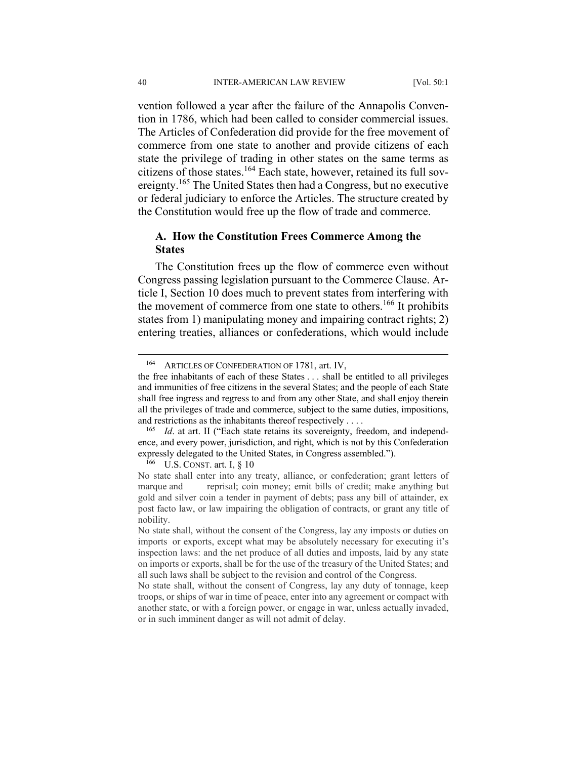vention followed a year after the failure of the Annapolis Convention in 1786, which had been called to consider commercial issues. The Articles of Confederation did provide for the free movement of commerce from one state to another and provide citizens of each state the privilege of trading in other states on the same terms as citizens of those states.164 Each state, however, retained its full sovereignty.<sup>165</sup> The United States then had a Congress, but no executive or federal judiciary to enforce the Articles. The structure created by the Constitution would free up the flow of trade and commerce.

# **A. How the Constitution Frees Commerce Among the States**

The Constitution frees up the flow of commerce even without Congress passing legislation pursuant to the Commerce Clause. Article I, Section 10 does much to prevent states from interfering with the movement of commerce from one state to others.<sup>166</sup> It prohibits states from 1) manipulating money and impairing contract rights; 2) entering treaties, alliances or confederations, which would include

 $166$  U.S. CONST. art. I, § 10

<sup>&</sup>lt;sup>164</sup> ARTICLES OF CONFEDERATION OF 1781, art. IV,

the free inhabitants of each of these States . . . shall be entitled to all privileges and immunities of free citizens in the several States; and the people of each State shall free ingress and regress to and from any other State, and shall enjoy therein all the privileges of trade and commerce, subject to the same duties, impositions,

and restrictions as the inhabitants thereof respectively . . . . 165 *Id*. at art. II ("Each state retains its sovereignty, freedom, and independence, and every power, jurisdiction, and right, which is not by this Confederation expressly delegated to the United States, in Congress assembled.").

No state shall enter into any treaty, alliance, or confederation; grant letters of marque and reprisal; coin money; emit bills of credit; make anything but gold and silver coin a tender in payment of debts; pass any bill of attainder, ex post facto law, or law impairing the obligation of contracts, or grant any title of nobility.

No state shall, without the consent of the Congress, lay any imposts or duties on imports or exports, except what may be absolutely necessary for executing it's inspection laws: and the net produce of all duties and imposts, laid by any state on imports or exports, shall be for the use of the treasury of the United States; and all such laws shall be subject to the revision and control of the Congress.

No state shall, without the consent of Congress, lay any duty of tonnage, keep troops, or ships of war in time of peace, enter into any agreement or compact with another state, or with a foreign power, or engage in war, unless actually invaded, or in such imminent danger as will not admit of delay.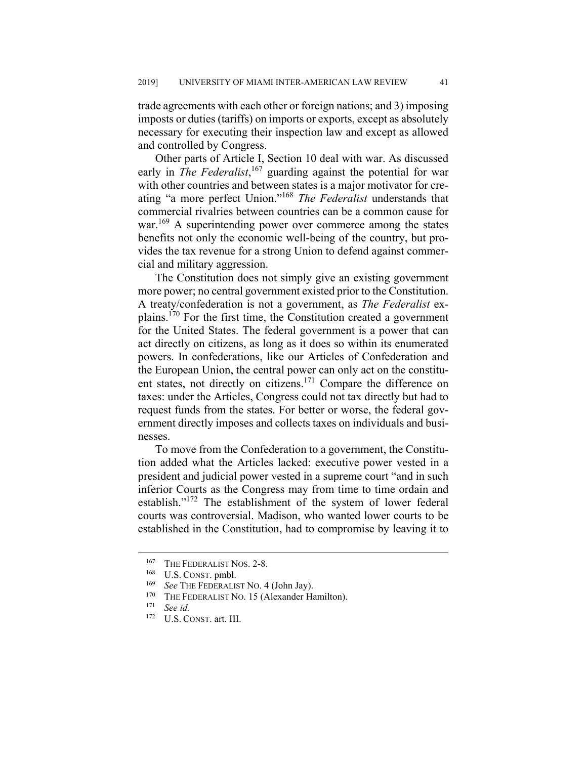trade agreements with each other or foreign nations; and 3) imposing imposts or duties (tariffs) on imports or exports, except as absolutely necessary for executing their inspection law and except as allowed and controlled by Congress.

Other parts of Article I, Section 10 deal with war. As discussed early in *The Federalist*, 167 guarding against the potential for war with other countries and between states is a major motivator for creating "a more perfect Union."168 *The Federalist* understands that commercial rivalries between countries can be a common cause for war.<sup>169</sup> A superintending power over commerce among the states benefits not only the economic well-being of the country, but provides the tax revenue for a strong Union to defend against commercial and military aggression.

The Constitution does not simply give an existing government more power; no central government existed prior to the Constitution. A treaty/confederation is not a government, as *The Federalist* explains.<sup>170</sup> For the first time, the Constitution created a government for the United States. The federal government is a power that can act directly on citizens, as long as it does so within its enumerated powers. In confederations, like our Articles of Confederation and the European Union, the central power can only act on the constituent states, not directly on citizens.<sup>171</sup> Compare the difference on taxes: under the Articles, Congress could not tax directly but had to request funds from the states. For better or worse, the federal government directly imposes and collects taxes on individuals and businesses.

To move from the Confederation to a government, the Constitution added what the Articles lacked: executive power vested in a president and judicial power vested in a supreme court "and in such inferior Courts as the Congress may from time to time ordain and establish."172 The establishment of the system of lower federal courts was controversial. Madison, who wanted lower courts to be established in the Constitution, had to compromise by leaving it to

<sup>&</sup>lt;sup>167</sup> THE FEDERALIST NOS.  $2-8$ .

 $\frac{168}{169}$  U.S. CONST. pmbl.

<sup>&</sup>lt;sup>169</sup> See THE FEDERALIST NO. 4 (John Jay).<br><sup>170</sup> THE FEDERALIST NO. 15 (Alexander He

<sup>&</sup>lt;sup>170</sup> THE FEDERALIST NO. 15 (Alexander Hamilton).

See id.

<sup>172</sup> U.S. CONST. art. III.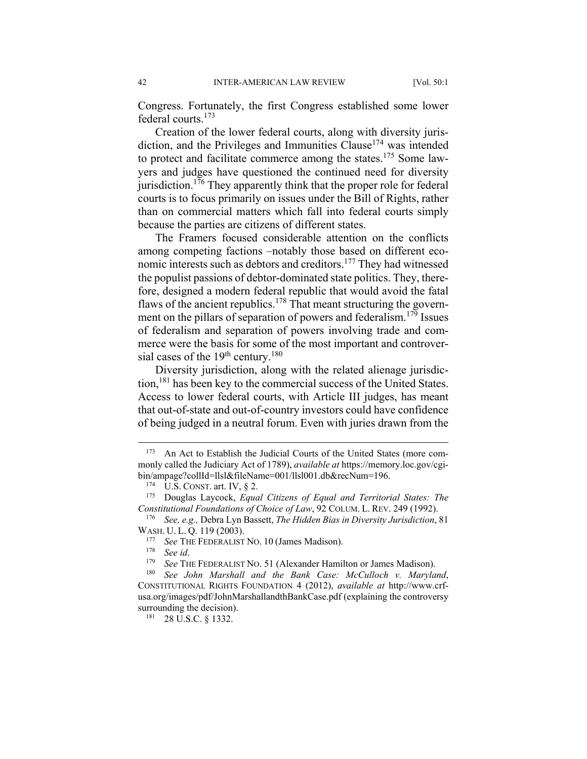Congress. Fortunately, the first Congress established some lower federal courts.173

Creation of the lower federal courts, along with diversity jurisdiction, and the Privileges and Immunities Clause<sup>174</sup> was intended to protect and facilitate commerce among the states.<sup>175</sup> Some lawyers and judges have questioned the continued need for diversity jurisdiction.<sup>176</sup> They apparently think that the proper role for federal courts is to focus primarily on issues under the Bill of Rights, rather than on commercial matters which fall into federal courts simply because the parties are citizens of different states.

The Framers focused considerable attention on the conflicts among competing factions –notably those based on different economic interests such as debtors and creditors.<sup>177</sup> They had witnessed the populist passions of debtor-dominated state politics. They, therefore, designed a modern federal republic that would avoid the fatal flaws of the ancient republics.<sup>178</sup> That meant structuring the government on the pillars of separation of powers and federalism.<sup>179</sup> Issues of federalism and separation of powers involving trade and commerce were the basis for some of the most important and controversial cases of the  $19<sup>th</sup>$  century.<sup>180</sup>

Diversity jurisdiction, along with the related alienage jurisdiction,<sup>181</sup> has been key to the commercial success of the United States. Access to lower federal courts, with Article III judges, has meant that out-of-state and out-of-country investors could have confidence of being judged in a neutral forum. Even with juries drawn from the

<sup>&</sup>lt;sup>173</sup> An Act to Establish the Judicial Courts of the United States (more commonly called the Judiciary Act of 1789), *available at* https://memory.loc.gov/cgibin/ampage?collId=llsl&fileName=001/llsl001.db&recNum=196.

<sup>174</sup> U.S. CONST. art. IV, § 2.

<sup>175</sup> Douglas Laycock, *Equal Citizens of Equal and Territorial States: The Constitutional Foundations of Choice of Law*, 92 COLUM. L. REV. 249 (1992).

<sup>176</sup> *See, e.g.,* Debra Lyn Bassett, *The Hidden Bias in Diversity Jurisdiction*, 81 WASH. U. L. Q. 119 (2003).

See THE FEDERALIST No. 10 (James Madison).

<sup>178</sup> See id.<br><sup>179</sup> See THE FEDERALIST NO. 51 (Alexander Hamilton or James Madison).<br><sup>180</sup> See John Marshall, and the Bank Case: McCulloch v. Marvia

See John Marshall and the Bank Case: McCulloch v. Maryland, CONSTITUTIONAL RIGHTS FOUNDATION 4 (2012), *available at* http://www.crfusa.org/images/pdf/JohnMarshallandthBankCase.pdf (explaining the controversy surrounding the decision).

<sup>181 28</sup> U.S.C. § 1332.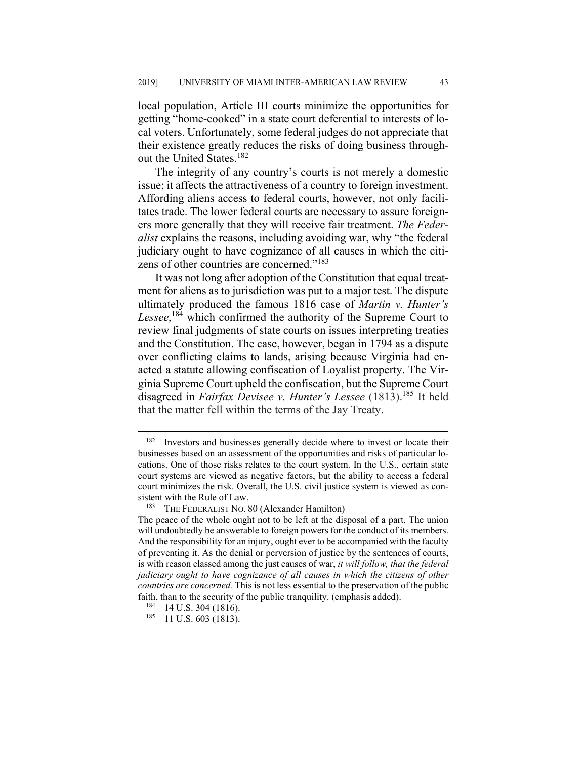local population, Article III courts minimize the opportunities for getting "home-cooked" in a state court deferential to interests of local voters. Unfortunately, some federal judges do not appreciate that their existence greatly reduces the risks of doing business throughout the United States.<sup>182</sup>

The integrity of any country's courts is not merely a domestic issue; it affects the attractiveness of a country to foreign investment. Affording aliens access to federal courts, however, not only facilitates trade. The lower federal courts are necessary to assure foreigners more generally that they will receive fair treatment. *The Federalist* explains the reasons, including avoiding war, why "the federal judiciary ought to have cognizance of all causes in which the citizens of other countries are concerned."183

It was not long after adoption of the Constitution that equal treatment for aliens as to jurisdiction was put to a major test. The dispute ultimately produced the famous 1816 case of *Martin v. Hunter's*  Lessee,<sup>184</sup> which confirmed the authority of the Supreme Court to review final judgments of state courts on issues interpreting treaties and the Constitution. The case, however, began in 1794 as a dispute over conflicting claims to lands, arising because Virginia had enacted a statute allowing confiscation of Loyalist property. The Virginia Supreme Court upheld the confiscation, but the Supreme Court disagreed in *Fairfax Devisee v. Hunter's Lessee* (1813).185 It held that the matter fell within the terms of the Jay Treaty.

<sup>&</sup>lt;sup>182</sup> Investors and businesses generally decide where to invest or locate their businesses based on an assessment of the opportunities and risks of particular locations. One of those risks relates to the court system. In the U.S., certain state court systems are viewed as negative factors, but the ability to access a federal court minimizes the risk. Overall, the U.S. civil justice system is viewed as consistent with the Rule of Law.

<sup>&</sup>lt;sup>183</sup> THE FEDERALIST NO. 80 (Alexander Hamilton)

The peace of the whole ought not to be left at the disposal of a part. The union will undoubtedly be answerable to foreign powers for the conduct of its members. And the responsibility for an injury, ought ever to be accompanied with the faculty of preventing it. As the denial or perversion of justice by the sentences of courts, is with reason classed among the just causes of war, *it will follow, that the federal judiciary ought to have cognizance of all causes in which the citizens of other countries are concerned.* This is not less essential to the preservation of the public faith, than to the security of the public tranquility. (emphasis added).

<sup>184 14</sup> U.S. 304 (1816).

 $185$  11 U.S. 603 (1813).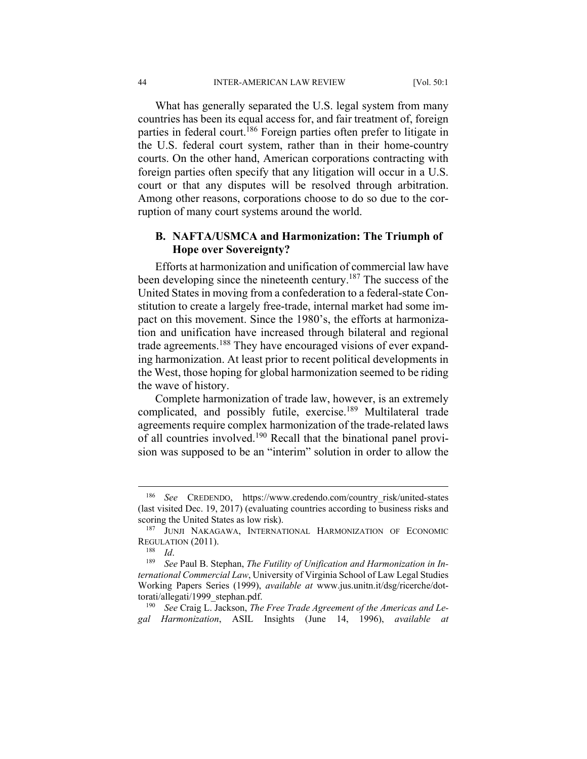What has generally separated the U.S. legal system from many countries has been its equal access for, and fair treatment of, foreign parties in federal court.186 Foreign parties often prefer to litigate in the U.S. federal court system, rather than in their home-country courts. On the other hand, American corporations contracting with foreign parties often specify that any litigation will occur in a U.S. court or that any disputes will be resolved through arbitration. Among other reasons, corporations choose to do so due to the corruption of many court systems around the world.

# **B. NAFTA/USMCA and Harmonization: The Triumph of Hope over Sovereignty?**

Efforts at harmonization and unification of commercial law have been developing since the nineteenth century.<sup>187</sup> The success of the United States in moving from a confederation to a federal-state Constitution to create a largely free-trade, internal market had some impact on this movement. Since the 1980's, the efforts at harmonization and unification have increased through bilateral and regional trade agreements.<sup>188</sup> They have encouraged visions of ever expanding harmonization. At least prior to recent political developments in the West, those hoping for global harmonization seemed to be riding the wave of history.

Complete harmonization of trade law, however, is an extremely complicated, and possibly futile, exercise.<sup>189</sup> Multilateral trade agreements require complex harmonization of the trade-related laws of all countries involved.190 Recall that the binational panel provision was supposed to be an "interim" solution in order to allow the

190 *See* Craig L. Jackson, *The Free Trade Agreement of the Americas and Legal Harmonization*, ASIL Insights (June 14, 1996), *available at*

<sup>&</sup>lt;sup>186</sup> See CREDENDO, https://www.credendo.com/country\_risk/united-states (last visited Dec. 19, 2017) (evaluating countries according to business risks and scoring the United States as low risk).

<sup>187</sup> JUNJI NAKAGAWA, INTERNATIONAL HARMONIZATION OF ECONOMIC REGULATION (2011).

<sup>&</sup>lt;sup>188</sup> Id.<br><sup>189</sup> See Paul B. Stephan, *The Futility of Unification and Harmonization in International Commercial Law*, University of Virginia School of Law Legal Studies Working Papers Series (1999), *available at* www.jus.unitn.it/dsg/ricerche/dottorati/allegati/1999\_stephan.pdf.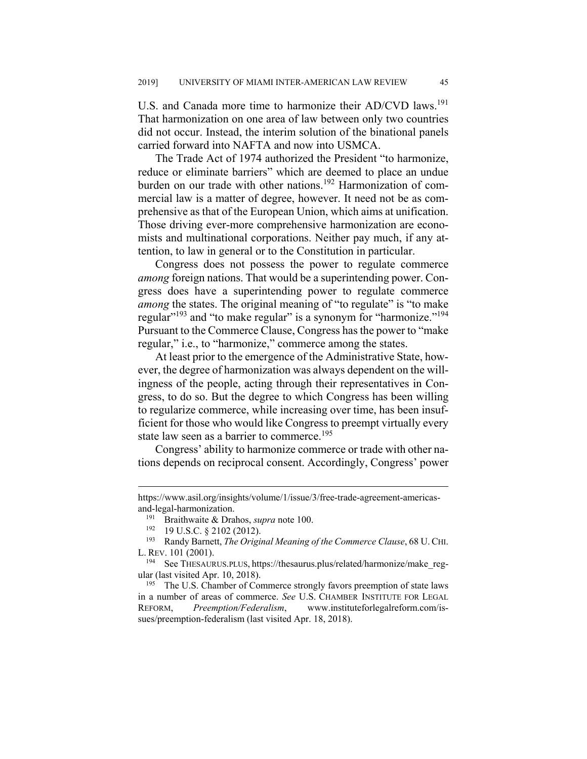U.S. and Canada more time to harmonize their AD/CVD laws.<sup>191</sup> That harmonization on one area of law between only two countries did not occur. Instead, the interim solution of the binational panels carried forward into NAFTA and now into USMCA.

The Trade Act of 1974 authorized the President "to harmonize, reduce or eliminate barriers" which are deemed to place an undue burden on our trade with other nations.<sup>192</sup> Harmonization of commercial law is a matter of degree, however. It need not be as comprehensive as that of the European Union, which aims at unification. Those driving ever-more comprehensive harmonization are economists and multinational corporations. Neither pay much, if any attention, to law in general or to the Constitution in particular.

Congress does not possess the power to regulate commerce *among* foreign nations. That would be a superintending power. Congress does have a superintending power to regulate commerce *among* the states. The original meaning of "to regulate" is "to make regular<sup>"193</sup> and "to make regular" is a synonym for "harmonize."<sup>194</sup> Pursuant to the Commerce Clause, Congress has the power to "make regular," i.e., to "harmonize," commerce among the states.

At least prior to the emergence of the Administrative State, however, the degree of harmonization was always dependent on the willingness of the people, acting through their representatives in Congress, to do so. But the degree to which Congress has been willing to regularize commerce, while increasing over time, has been insufficient for those who would like Congress to preempt virtually every state law seen as a barrier to commerce.<sup>195</sup>

Congress' ability to harmonize commerce or trade with other nations depends on reciprocal consent. Accordingly, Congress' power

https://www.asil.org/insights/volume/1/issue/3/free-trade-agreement-americasand-legal-harmonization.

<sup>191</sup> Braithwaite & Drahos, *supra* note 100.<br><sup>192</sup> 19 U S C & 2102 (2012)

<sup>&</sup>lt;sup>192</sup> 19 U.S.C.  $\S 2102$  (2012).<br><sup>193</sup> Randy Barnett *The Origi* 

<sup>193</sup> Randy Barnett, *The Original Meaning of the Commerce Clause*, 68 U. CHI. L. REV. 101 (2001).

<sup>194</sup> See THESAURUS.PLUS, https://thesaurus.plus/related/harmonize/make\_regular (last visited Apr. 10, 2018).

<sup>&</sup>lt;sup>195</sup> The U.S. Chamber of Commerce strongly favors preemption of state laws in a number of areas of commerce. *See* U.S. CHAMBER INSTITUTE FOR LEGAL REFORM, *Preemption/Federalism*, www.instituteforlegalreform.com/issues/preemption-federalism (last visited Apr. 18, 2018).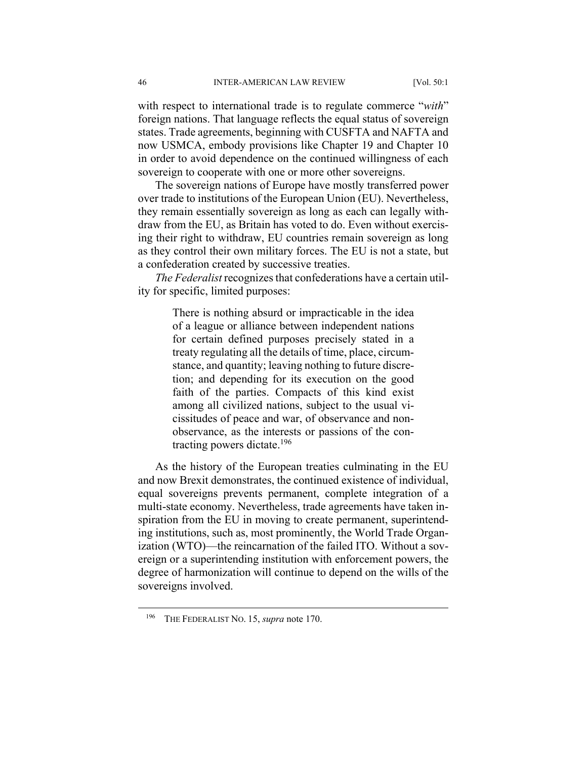with respect to international trade is to regulate commerce "*with*" foreign nations. That language reflects the equal status of sovereign states. Trade agreements, beginning with CUSFTA and NAFTA and now USMCA, embody provisions like Chapter 19 and Chapter 10 in order to avoid dependence on the continued willingness of each sovereign to cooperate with one or more other sovereigns.

The sovereign nations of Europe have mostly transferred power over trade to institutions of the European Union (EU). Nevertheless, they remain essentially sovereign as long as each can legally withdraw from the EU, as Britain has voted to do. Even without exercising their right to withdraw, EU countries remain sovereign as long as they control their own military forces. The EU is not a state, but a confederation created by successive treaties.

*The Federalist* recognizes that confederations have a certain utility for specific, limited purposes:

> There is nothing absurd or impracticable in the idea of a league or alliance between independent nations for certain defined purposes precisely stated in a treaty regulating all the details of time, place, circumstance, and quantity; leaving nothing to future discretion; and depending for its execution on the good faith of the parties. Compacts of this kind exist among all civilized nations, subject to the usual vicissitudes of peace and war, of observance and nonobservance, as the interests or passions of the contracting powers dictate.196

As the history of the European treaties culminating in the EU and now Brexit demonstrates, the continued existence of individual, equal sovereigns prevents permanent, complete integration of a multi-state economy. Nevertheless, trade agreements have taken inspiration from the EU in moving to create permanent, superintending institutions, such as, most prominently, the World Trade Organization (WTO)—the reincarnation of the failed ITO. Without a sovereign or a superintending institution with enforcement powers, the degree of harmonization will continue to depend on the wills of the sovereigns involved.

 <sup>196</sup> THE FEDERALIST NO. 15, *supra* note 170.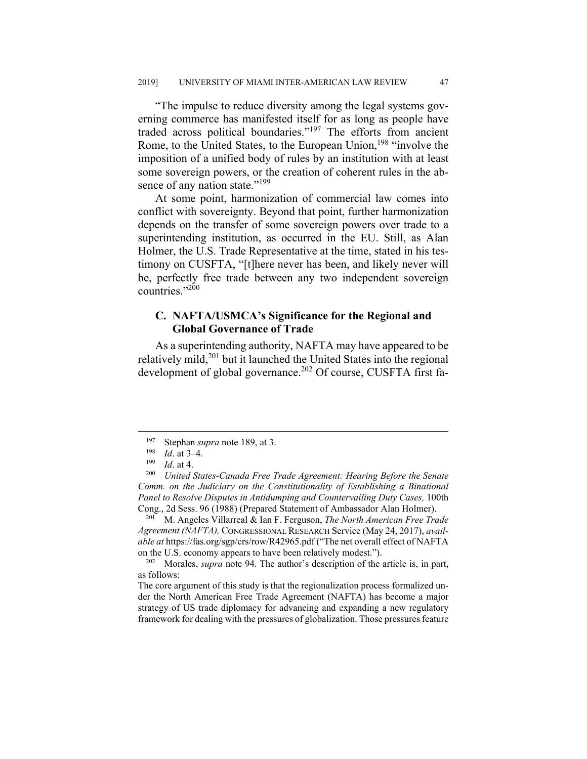"The impulse to reduce diversity among the legal systems governing commerce has manifested itself for as long as people have traded across political boundaries." $197$  The efforts from ancient Rome, to the United States, to the European Union,<sup>198</sup> "involve the imposition of a unified body of rules by an institution with at least some sovereign powers, or the creation of coherent rules in the absence of any nation state."<sup>199</sup>

At some point, harmonization of commercial law comes into conflict with sovereignty. Beyond that point, further harmonization depends on the transfer of some sovereign powers over trade to a superintending institution, as occurred in the EU. Still, as Alan Holmer, the U.S. Trade Representative at the time, stated in his testimony on CUSFTA, "[t]here never has been, and likely never will be, perfectly free trade between any two independent sovereign countries."200

# **C. NAFTA/USMCA's Significance for the Regional and Global Governance of Trade**

As a superintending authority, NAFTA may have appeared to be relatively mild,<sup>201</sup> but it launched the United States into the regional development of global governance.<sup>202</sup> Of course, CUSFTA first fa-

201 M. Angeles Villarreal & Ian F. Ferguson, *The North American Free Trade Agreement (NAFTA),* CONGRESSIONAL RESEARCH Service (May 24, 2017), *available at* https://fas.org/sgp/crs/row/R42965.pdf ("The net overall effect of NAFTA on the U.S. economy appears to have been relatively modest.").

202 Morales, *supra* note 94. The author's description of the article is, in part, as follows:

The core argument of this study is that the regionalization process formalized under the North American Free Trade Agreement (NAFTA) has become a major strategy of US trade diplomacy for advancing and expanding a new regulatory framework for dealing with the pressures of globalization. Those pressures feature

<sup>&</sup>lt;sup>197</sup> Stephan *supra* note 189, at 3.

 $\frac{198}{199}$  *Id.* at 3–4.

<sup>199</sup> *Id*. at 4.

<sup>200</sup> *United States-Canada Free Trade Agreement: Hearing Before the Senate Comm. on the Judiciary on the Constitutionality of Establishing a Binational Panel to Resolve Disputes in Antidumping and Countervailing Duty Cases,* 100th Cong., 2d Sess. 96 (1988) (Prepared Statement of Ambassador Alan Holmer).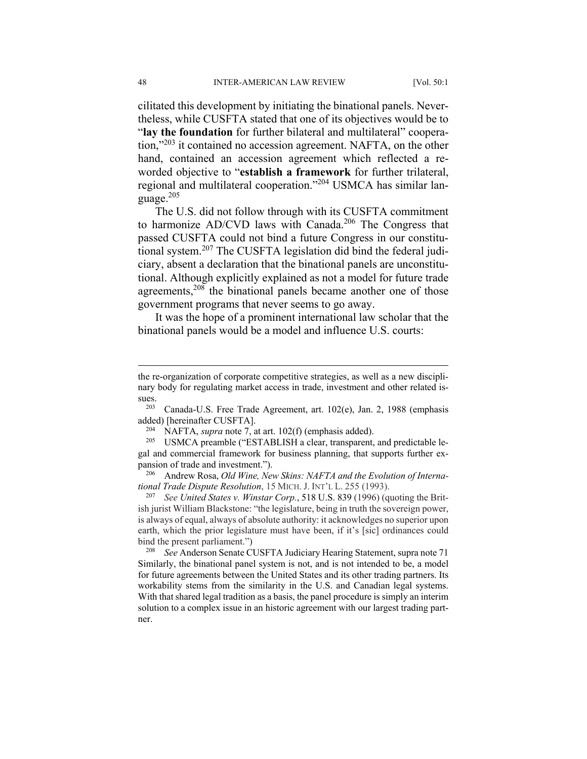cilitated this development by initiating the binational panels. Nevertheless, while CUSFTA stated that one of its objectives would be to "**lay the foundation** for further bilateral and multilateral" cooperation,"203 it contained no accession agreement. NAFTA, on the other hand, contained an accession agreement which reflected a reworded objective to "**establish a framework** for further trilateral, regional and multilateral cooperation."204 USMCA has similar language. $205$ 

The U.S. did not follow through with its CUSFTA commitment to harmonize AD/CVD laws with Canada.<sup>206</sup> The Congress that passed CUSFTA could not bind a future Congress in our constitutional system.207 The CUSFTA legislation did bind the federal judiciary, absent a declaration that the binational panels are unconstitutional. Although explicitly explained as not a model for future trade agreements,<sup>208</sup> the binational panels became another one of those government programs that never seems to go away.

It was the hope of a prominent international law scholar that the binational panels would be a model and influence U.S. courts:

<sup>208</sup> See Anderson Senate CUSFTA Judiciary Hearing Statement, supra note 71 Similarly, the binational panel system is not, and is not intended to be, a model for future agreements between the United States and its other trading partners. Its workability stems from the similarity in the U.S. and Canadian legal systems. With that shared legal tradition as a basis, the panel procedure is simply an interim solution to a complex issue in an historic agreement with our largest trading partner.

the re-organization of corporate competitive strategies, as well as a new disciplinary body for regulating market access in trade, investment and other related issues.<br>203

Canada-U.S. Free Trade Agreement, art. 102(e), Jan. 2, 1988 (emphasis added) [hereinafter CUSFTA].

<sup>&</sup>lt;sup>204</sup> NAFTA, *supra* note 7, at art.  $102(f)$  (emphasis added).<br><sup>205</sup> USMCA presmble ("ESTABLISH a clear transporant

USMCA preamble ("ESTABLISH a clear, transparent, and predictable legal and commercial framework for business planning, that supports further expansion of trade and investment.").

<sup>206</sup> Andrew Rosa, *Old Wine, New Skins: NAFTA and the Evolution of International Trade Dispute Resolution*, 15 MICH. J. INT'L L. 255 (1993).

<sup>207</sup> *See United States v. Winstar Corp.*, 518 U.S. 839 (1996) (quoting the British jurist William Blackstone: "the legislature, being in truth the sovereign power, is always of equal, always of absolute authority: it acknowledges no superior upon earth, which the prior legislature must have been, if it's [sic] ordinances could bind the present parliament.")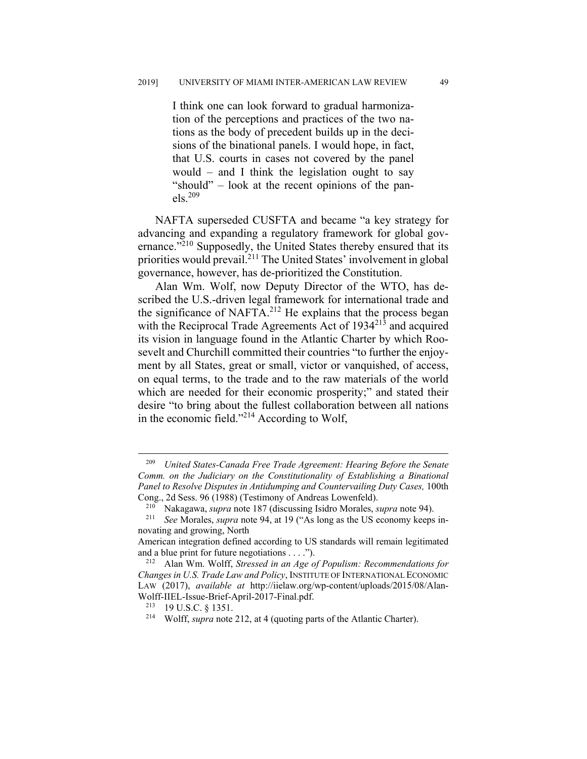I think one can look forward to gradual harmonization of the perceptions and practices of the two nations as the body of precedent builds up in the decisions of the binational panels. I would hope, in fact, that U.S. courts in cases not covered by the panel would – and I think the legislation ought to say "should" – look at the recent opinions of the pan $els.<sup>209</sup>$ 

NAFTA superseded CUSFTA and became "a key strategy for advancing and expanding a regulatory framework for global governance."<sup>210</sup> Supposedly, the United States thereby ensured that its priorities would prevail.211 The United States' involvement in global governance, however, has de-prioritized the Constitution.

Alan Wm. Wolf, now Deputy Director of the WTO, has described the U.S.-driven legal framework for international trade and the significance of NAFTA.<sup>212</sup> He explains that the process began with the Reciprocal Trade Agreements Act of 1934<sup>213</sup> and acquired its vision in language found in the Atlantic Charter by which Roosevelt and Churchill committed their countries "to further the enjoyment by all States, great or small, victor or vanquished, of access, on equal terms, to the trade and to the raw materials of the world which are needed for their economic prosperity;" and stated their desire "to bring about the fullest collaboration between all nations in the economic field."214 According to Wolf,

 <sup>209</sup> *United States-Canada Free Trade Agreement: Hearing Before the Senate Comm. on the Judiciary on the Constitutionality of Establishing a Binational Panel to Resolve Disputes in Antidumping and Countervailing Duty Cases,* 100th Cong., 2d Sess. 96 (1988) (Testimony of Andreas Lowenfeld).

<sup>210</sup> Nakagawa, *supra* note 187 (discussing Isidro Morales, *supra* note 94). 211 *See* Morales, *supra* note 94, at 19 ("As long as the US economy keeps innovating and growing, North

American integration defined according to US standards will remain legitimated and a blue print for future negotiations . . . .").<br><sup>212</sup> Alan Wm. Wolff, *Stressed in an Age of Populism: Recommendations for* 

*Changes in U.S. Trade Law and Policy*, INSTITUTE OF INTERNATIONAL ECONOMIC LAW (2017), *available at* http://iielaw.org/wp-content/uploads/2015/08/Alan-Wolff-IIEL-Issue-Brief-April-2017-Final.pdf.

<sup>213 19</sup> U.S.C. § 1351. 214 Wolff, *supra* note 212, at 4 (quoting parts of the Atlantic Charter).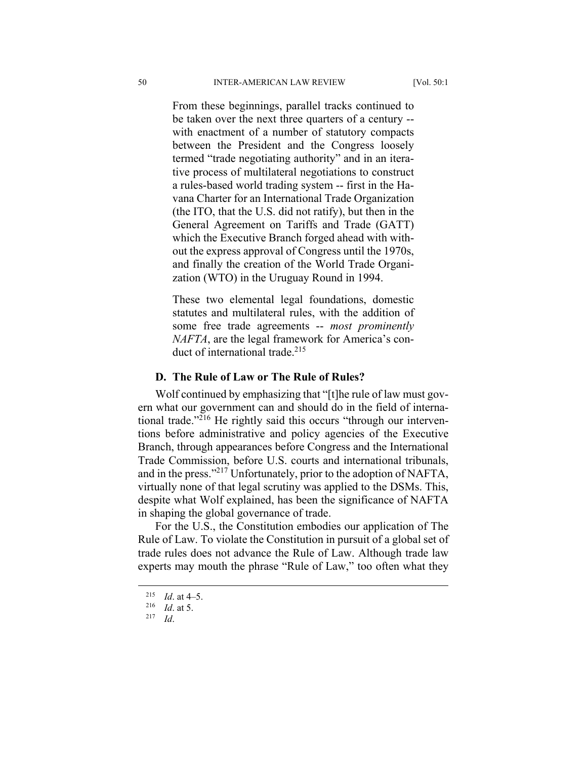From these beginnings, parallel tracks continued to be taken over the next three quarters of a century - with enactment of a number of statutory compacts between the President and the Congress loosely termed "trade negotiating authority" and in an iterative process of multilateral negotiations to construct a rules-based world trading system -- first in the Havana Charter for an International Trade Organization (the ITO, that the U.S. did not ratify), but then in the General Agreement on Tariffs and Trade (GATT) which the Executive Branch forged ahead with without the express approval of Congress until the 1970s, and finally the creation of the World Trade Organization (WTO) in the Uruguay Round in 1994.

These two elemental legal foundations, domestic statutes and multilateral rules, with the addition of some free trade agreements -- *most prominently NAFTA*, are the legal framework for America's conduct of international trade.<sup>215</sup>

#### **D. The Rule of Law or The Rule of Rules?**

Wolf continued by emphasizing that "[t]he rule of law must govern what our government can and should do in the field of international trade."<sup>216</sup> He rightly said this occurs "through our interventions before administrative and policy agencies of the Executive Branch, through appearances before Congress and the International Trade Commission, before U.S. courts and international tribunals, and in the press."217 Unfortunately, prior to the adoption of NAFTA, virtually none of that legal scrutiny was applied to the DSMs. This, despite what Wolf explained, has been the significance of NAFTA in shaping the global governance of trade.

For the U.S., the Constitution embodies our application of The Rule of Law. To violate the Constitution in pursuit of a global set of trade rules does not advance the Rule of Law. Although trade law experts may mouth the phrase "Rule of Law," too often what they

 <sup>215</sup> *Id*. at 4–5.

 $\frac{216}{217}$  *Id.* at 5.

<sup>217</sup> *Id*.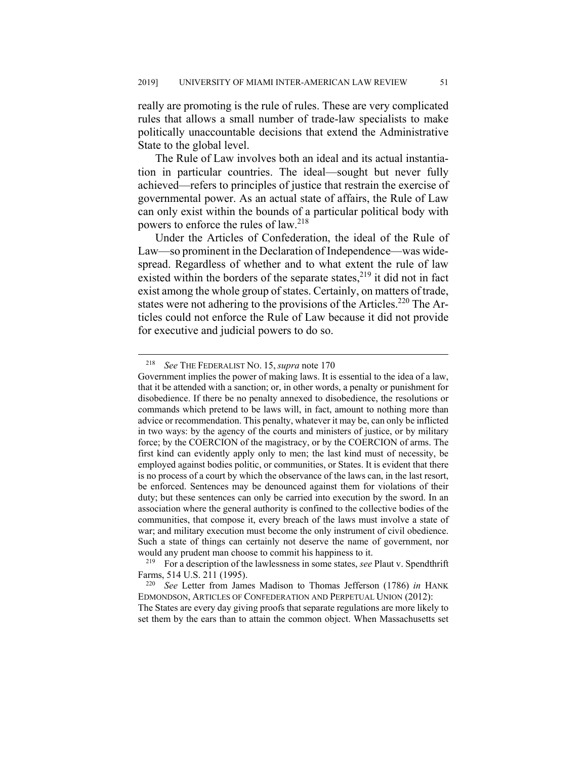really are promoting is the rule of rules. These are very complicated rules that allows a small number of trade-law specialists to make politically unaccountable decisions that extend the Administrative State to the global level.

The Rule of Law involves both an ideal and its actual instantiation in particular countries. The ideal—sought but never fully achieved—refers to principles of justice that restrain the exercise of governmental power. As an actual state of affairs, the Rule of Law can only exist within the bounds of a particular political body with powers to enforce the rules of law.218

Under the Articles of Confederation, the ideal of the Rule of Law—so prominent in the Declaration of Independence—was widespread. Regardless of whether and to what extent the rule of law existed within the borders of the separate states, $2^{19}$  it did not in fact exist among the whole group of states. Certainly, on matters of trade, states were not adhering to the provisions of the Articles.<sup>220</sup> The Articles could not enforce the Rule of Law because it did not provide for executive and judicial powers to do so.

219 For a description of the lawlessness in some states, *see* Plaut v. Spendthrift Farms, 514 U.S. 211 (1995).

set them by the ears than to attain the common object. When Massachusetts set

 <sup>218</sup> *See* THE FEDERALIST NO. 15,*supra* note 170

Government implies the power of making laws. It is essential to the idea of a law, that it be attended with a sanction; or, in other words, a penalty or punishment for disobedience. If there be no penalty annexed to disobedience, the resolutions or commands which pretend to be laws will, in fact, amount to nothing more than advice or recommendation. This penalty, whatever it may be, can only be inflicted in two ways: by the agency of the courts and ministers of justice, or by military force; by the COERCION of the magistracy, or by the COERCION of arms. The first kind can evidently apply only to men; the last kind must of necessity, be employed against bodies politic, or communities, or States. It is evident that there is no process of a court by which the observance of the laws can, in the last resort, be enforced. Sentences may be denounced against them for violations of their duty; but these sentences can only be carried into execution by the sword. In an association where the general authority is confined to the collective bodies of the communities, that compose it, every breach of the laws must involve a state of war; and military execution must become the only instrument of civil obedience. Such a state of things can certainly not deserve the name of government, nor would any prudent man choose to commit his happiness to it.

<sup>220</sup> *See* Letter from James Madison to Thomas Jefferson (1786) *in* HANK EDMONDSON, ARTICLES OF CONFEDERATION AND PERPETUAL UNION (2012): The States are every day giving proofs that separate regulations are more likely to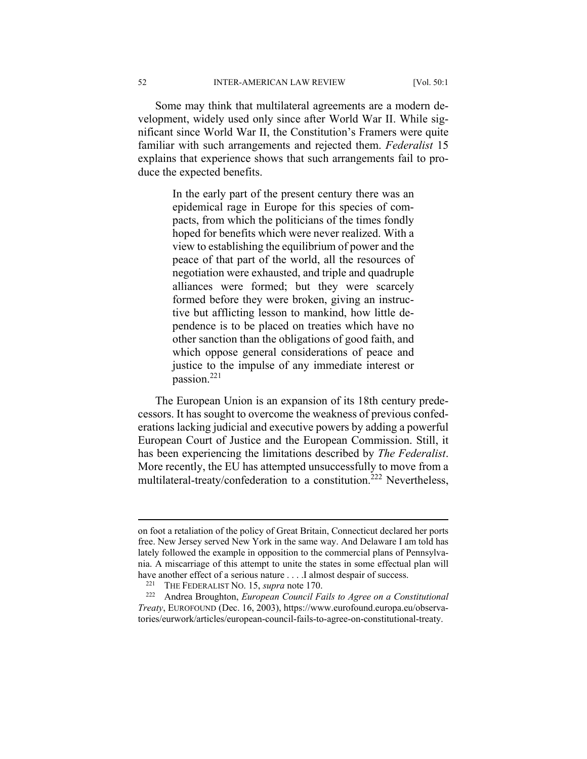Some may think that multilateral agreements are a modern development, widely used only since after World War II. While significant since World War II, the Constitution's Framers were quite familiar with such arrangements and rejected them. *Federalist* 15 explains that experience shows that such arrangements fail to produce the expected benefits.

> In the early part of the present century there was an epidemical rage in Europe for this species of compacts, from which the politicians of the times fondly hoped for benefits which were never realized. With a view to establishing the equilibrium of power and the peace of that part of the world, all the resources of negotiation were exhausted, and triple and quadruple alliances were formed; but they were scarcely formed before they were broken, giving an instructive but afflicting lesson to mankind, how little dependence is to be placed on treaties which have no other sanction than the obligations of good faith, and which oppose general considerations of peace and justice to the impulse of any immediate interest or passion.221

The European Union is an expansion of its 18th century predecessors. It has sought to overcome the weakness of previous confederations lacking judicial and executive powers by adding a powerful European Court of Justice and the European Commission. Still, it has been experiencing the limitations described by *The Federalist*. More recently, the EU has attempted unsuccessfully to move from a multilateral-treaty/confederation to a constitution.<sup>222</sup> Nevertheless,

on foot a retaliation of the policy of Great Britain, Connecticut declared her ports free. New Jersey served New York in the same way. And Delaware I am told has lately followed the example in opposition to the commercial plans of Pennsylvania. A miscarriage of this attempt to unite the states in some effectual plan will have another effect of a serious nature . . . .I almost despair of success.<br><sup>221</sup> THE FEDERALIST NO. 15, *supra* note 170.<br><sup>222</sup> Andrea Broughton, *European Council Fails to Agree on a Constitutional* 

*Treaty*, EUROFOUND (Dec. 16, 2003), https://www.eurofound.europa.eu/observatories/eurwork/articles/european-council-fails-to-agree-on-constitutional-treaty.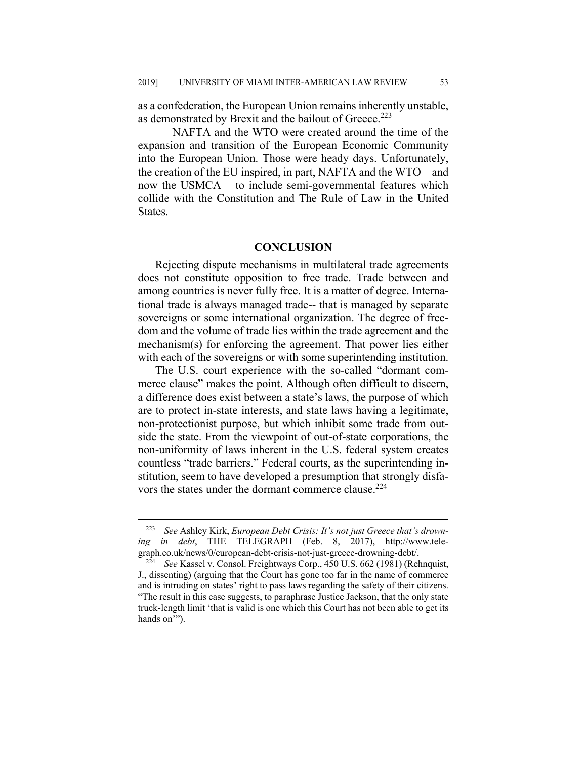as a confederation, the European Union remains inherently unstable, as demonstrated by Brexit and the bailout of Greece.<sup>223</sup>

 NAFTA and the WTO were created around the time of the expansion and transition of the European Economic Community into the European Union. Those were heady days. Unfortunately, the creation of the EU inspired, in part, NAFTA and the WTO – and now the USMCA – to include semi-governmental features which collide with the Constitution and The Rule of Law in the United States.

#### **CONCLUSION**

Rejecting dispute mechanisms in multilateral trade agreements does not constitute opposition to free trade. Trade between and among countries is never fully free. It is a matter of degree. International trade is always managed trade-- that is managed by separate sovereigns or some international organization. The degree of freedom and the volume of trade lies within the trade agreement and the mechanism(s) for enforcing the agreement. That power lies either with each of the sovereigns or with some superintending institution.

The U.S. court experience with the so-called "dormant commerce clause" makes the point. Although often difficult to discern, a difference does exist between a state's laws, the purpose of which are to protect in-state interests, and state laws having a legitimate, non-protectionist purpose, but which inhibit some trade from outside the state. From the viewpoint of out-of-state corporations, the non-uniformity of laws inherent in the U.S. federal system creates countless "trade barriers." Federal courts, as the superintending institution, seem to have developed a presumption that strongly disfavors the states under the dormant commerce clause.<sup>224</sup>

 <sup>223</sup> *See* Ashley Kirk, *European Debt Crisis: It's not just Greece that's drowning in debt*, THE TELEGRAPH (Feb. 8, 2017), http://www.telegraph.co.uk/news/0/european-debt-crisis-not-just-greece-drowning-debt/. 224 *See* Kassel v. Consol. Freightways Corp., 450 U.S. 662 (1981) (Rehnquist,

J., dissenting) (arguing that the Court has gone too far in the name of commerce and is intruding on states' right to pass laws regarding the safety of their citizens. "The result in this case suggests, to paraphrase Justice Jackson, that the only state truck-length limit 'that is valid is one which this Court has not been able to get its hands on"").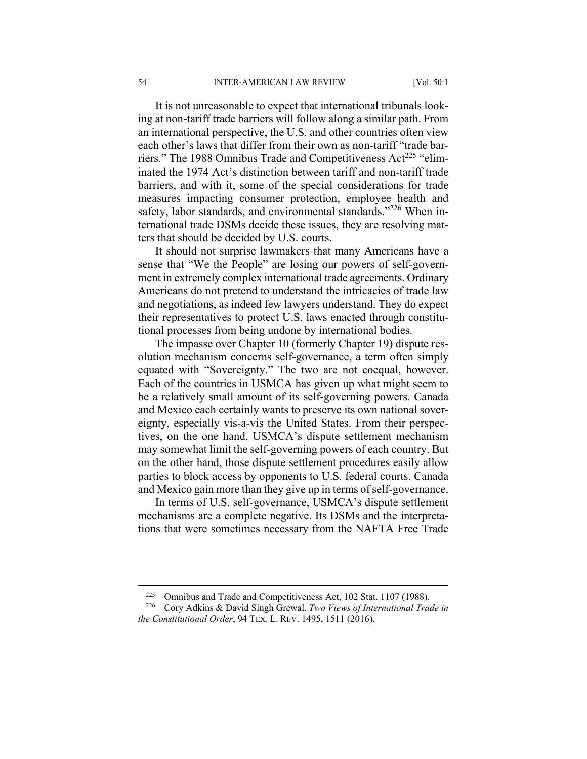It is not unreasonable to expect that international tribunals looking at non-tariff trade barriers will follow along a similar path. From an international perspective, the U.S. and other countries often view each other's laws that differ from their own as non-tariff "trade barriers." The 1988 Omnibus Trade and Competitiveness Act<sup>225</sup> "eliminated the 1974 Act's distinction between tariff and non-tariff trade barriers, and with it, some of the special considerations for trade measures impacting consumer protection, employee health and safety, labor standards, and environmental standards."<sup>226</sup> When international trade DSMs decide these issues, they are resolving matters that should be decided by U.S. courts.

It should not surprise lawmakers that many Americans have a sense that "We the People" are losing our powers of self-government in extremely complex international trade agreements. Ordinary Americans do not pretend to understand the intricacies of trade law and negotiations, as indeed few lawyers understand. They do expect their representatives to protect U.S. laws enacted through constitutional processes from being undone by international bodies.

The impasse over Chapter 10 (formerly Chapter 19) dispute resolution mechanism concerns self-governance, a term often simply equated with "Sovereignty." The two are not coequal, however. Each of the countries in USMCA has given up what might seem to be a relatively small amount of its self-governing powers. Canada and Mexico each certainly wants to preserve its own national sovereignty, especially vis-a-vis the United States. From their perspectives, on the one hand, USMCA's dispute settlement mechanism may somewhat limit the self-governing powers of each country. But on the other hand, those dispute settlement procedures easily allow parties to block access by opponents to U.S. federal courts. Canada and Mexico gain more than they give up in terms of self-governance.

In terms of U.S. self-governance, USMCA's dispute settlement mechanisms are a complete negative. Its DSMs and the interpretations that were sometimes necessary from the NAFTA Free Trade

<sup>&</sup>lt;sup>225</sup> Omnibus and Trade and Competitiveness Act, 102 Stat. 1107 (1988).<br><sup>226</sup> Corv Adkins & David Singh Grewal. *Two Views of International Trades* 

<sup>226</sup> Cory Adkins & David Singh Grewal, *Two Views of International Trade in the Constitutional Order*, 94 TEX. L. REV. 1495, 1511 (2016).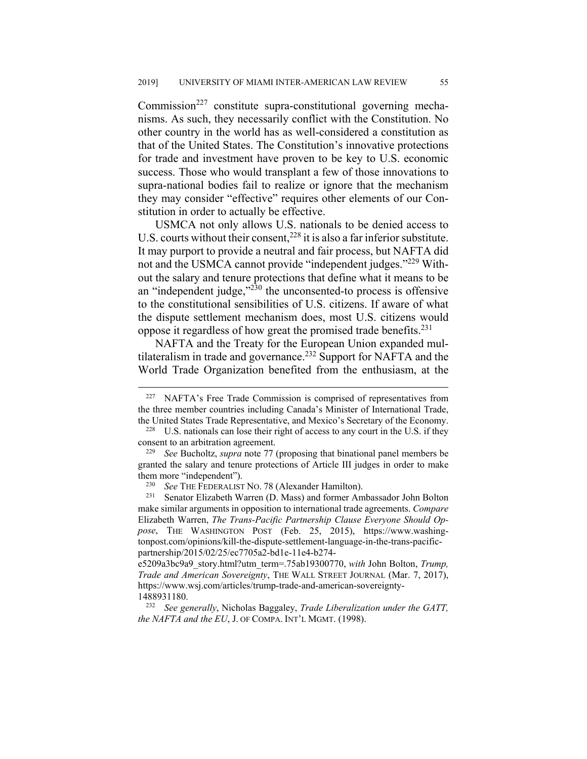$Commission<sup>227</sup>$  constitute supra-constitutional governing mechanisms. As such, they necessarily conflict with the Constitution. No other country in the world has as well-considered a constitution as that of the United States. The Constitution's innovative protections for trade and investment have proven to be key to U.S. economic success. Those who would transplant a few of those innovations to supra-national bodies fail to realize or ignore that the mechanism they may consider "effective" requires other elements of our Constitution in order to actually be effective.

USMCA not only allows U.S. nationals to be denied access to U.S. courts without their consent,  $228$  it is also a far inferior substitute. It may purport to provide a neutral and fair process, but NAFTA did not and the USMCA cannot provide "independent judges."<sup>229</sup> Without the salary and tenure protections that define what it means to be an "independent judge,"230 the unconsented-to process is offensive to the constitutional sensibilities of U.S. citizens. If aware of what the dispute settlement mechanism does, most U.S. citizens would oppose it regardless of how great the promised trade benefits.<sup>231</sup>

NAFTA and the Treaty for the European Union expanded multilateralism in trade and governance.<sup>232</sup> Support for NAFTA and the World Trade Organization benefited from the enthusiasm, at the

<sup>&</sup>lt;sup>227</sup> NAFTA's Free Trade Commission is comprised of representatives from the three member countries including Canada's Minister of International Trade, the United States Trade Representative, and Mexico's Secretary of the Economy.

<sup>&</sup>lt;sup>228</sup> U.S. nationals can lose their right of access to any court in the U.S. if they consent to an arbitration agreement.

<sup>229</sup> *See* Bucholtz, *supra* note 77 (proposing that binational panel members be granted the salary and tenure protections of Article III judges in order to make them more "independent").

<sup>&</sup>lt;sup>230</sup> See THE FEDERALIST NO. 78 (Alexander Hamilton).<br><sup>231</sup> Senator Elizabeth Warren (D. Mass) and former An

Senator Elizabeth Warren (D. Mass) and former Ambassador John Bolton make similar arguments in opposition to international trade agreements. *Compare* Elizabeth Warren, *The Trans-Pacific Partnership Clause Everyone Should Oppose*, THE WASHINGTON POST (Feb. 25, 2015), https://www.washingtonpost.com/opinions/kill-the-dispute-settlement-language-in-the-trans-pacificpartnership/2015/02/25/ec7705a2-bd1e-11e4-b274-

e5209a3bc9a9\_story.html?utm\_term=.75ab19300770, *with* John Bolton, *Trump, Trade and American Sovereignty*, THE WALL STREET JOURNAL (Mar. 7, 2017), https://www.wsj.com/articles/trump-trade-and-american-sovereignty-1488931180.

<sup>232</sup> *See generally*, Nicholas Baggaley, *Trade Liberalization under the GATT, the NAFTA and the EU*, J. OF COMPA. INT'L MGMT. (1998).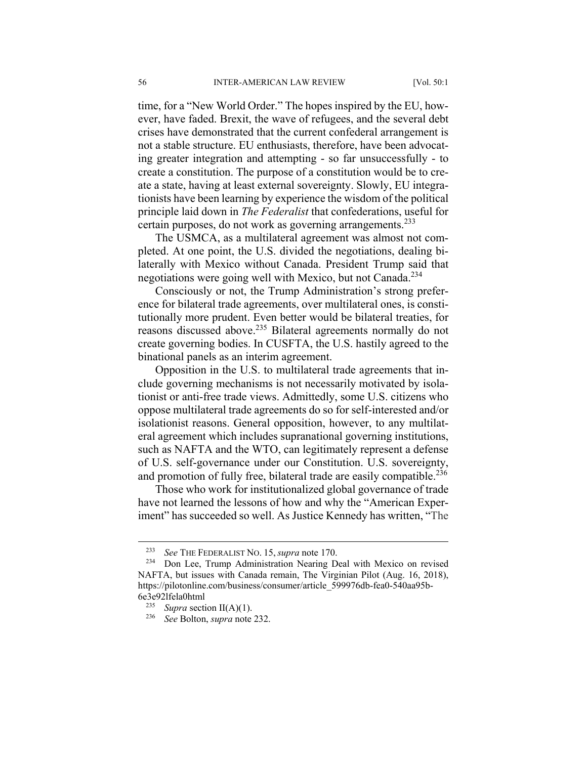time, for a "New World Order." The hopes inspired by the EU, however, have faded. Brexit, the wave of refugees, and the several debt crises have demonstrated that the current confederal arrangement is not a stable structure. EU enthusiasts, therefore, have been advocating greater integration and attempting - so far unsuccessfully - to create a constitution. The purpose of a constitution would be to create a state, having at least external sovereignty. Slowly, EU integrationists have been learning by experience the wisdom of the political principle laid down in *The Federalist* that confederations, useful for certain purposes, do not work as governing arrangements.<sup>233</sup>

The USMCA, as a multilateral agreement was almost not completed. At one point, the U.S. divided the negotiations, dealing bilaterally with Mexico without Canada. President Trump said that negotiations were going well with Mexico, but not Canada.<sup>234</sup>

Consciously or not, the Trump Administration's strong preference for bilateral trade agreements, over multilateral ones, is constitutionally more prudent. Even better would be bilateral treaties, for reasons discussed above.235 Bilateral agreements normally do not create governing bodies. In CUSFTA, the U.S. hastily agreed to the binational panels as an interim agreement.

Opposition in the U.S. to multilateral trade agreements that include governing mechanisms is not necessarily motivated by isolationist or anti-free trade views. Admittedly, some U.S. citizens who oppose multilateral trade agreements do so for self-interested and/or isolationist reasons. General opposition, however, to any multilateral agreement which includes supranational governing institutions, such as NAFTA and the WTO, can legitimately represent a defense of U.S. self-governance under our Constitution. U.S. sovereignty, and promotion of fully free, bilateral trade are easily compatible.<sup>236</sup>

Those who work for institutionalized global governance of trade have not learned the lessons of how and why the "American Experiment" has succeeded so well. As Justice Kennedy has written, "The

 <sup>233</sup> *See* THE FEDERALIST NO. 15,*supra* note 170.

<sup>&</sup>lt;sup>234</sup> Don Lee, Trump Administration Nearing Deal with Mexico on revised NAFTA, but issues with Canada remain, The Virginian Pilot (Aug. 16, 2018), https://pilotonline.com/business/consumer/article\_599976db-fea0-540aa95b-6e3e92lfela0html

<sup>235</sup> *Supra* section II(A)(1).

<sup>236</sup> *See* Bolton, *supra* note 232.